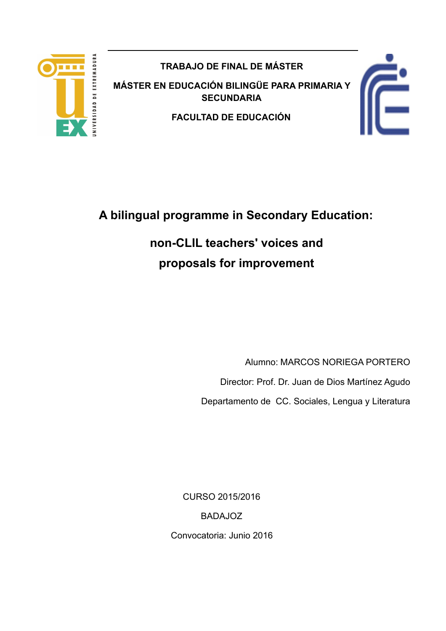

**TRABAJO DE FINAL DE MÁSTER** 

**MÁSTER EN EDUCACIÓN BILINGÜE PARA PRIMARIA Y SECUNDARIA** 

**FACULTAD DE EDUCACIÓN**



# **A bilingual programme in Secondary Education:**

# **non-CLIL teachers' voices and proposals for improvement**

Alumno: MARCOS NORIEGA PORTERO Director: Prof. Dr. Juan de Dios Martínez Agudo Departamento de CC. Sociales, Lengua y Literatura

CURSO 2015/2016 BADAJOZ Convocatoria: Junio 2016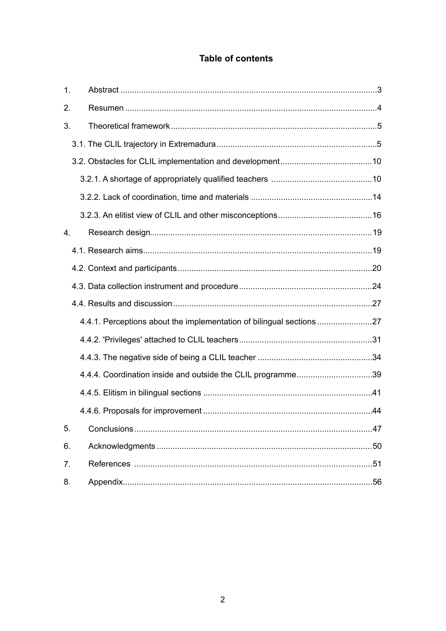## Table of contents

| $\mathbf{1}$ . |                                                                   |  |
|----------------|-------------------------------------------------------------------|--|
| 2.             |                                                                   |  |
| 3.             |                                                                   |  |
|                |                                                                   |  |
|                |                                                                   |  |
|                |                                                                   |  |
|                |                                                                   |  |
|                |                                                                   |  |
| $\mathbf{4}$ . |                                                                   |  |
|                |                                                                   |  |
|                |                                                                   |  |
|                |                                                                   |  |
|                |                                                                   |  |
|                | 4.4.1. Perceptions about the implementation of bilingual sections |  |
|                |                                                                   |  |
|                |                                                                   |  |
|                | 4.4.4. Coordination inside and outside the CLIL programme39       |  |
|                |                                                                   |  |
|                |                                                                   |  |
| 5.             |                                                                   |  |
| 6.             |                                                                   |  |
| 7.             |                                                                   |  |
| 8.             |                                                                   |  |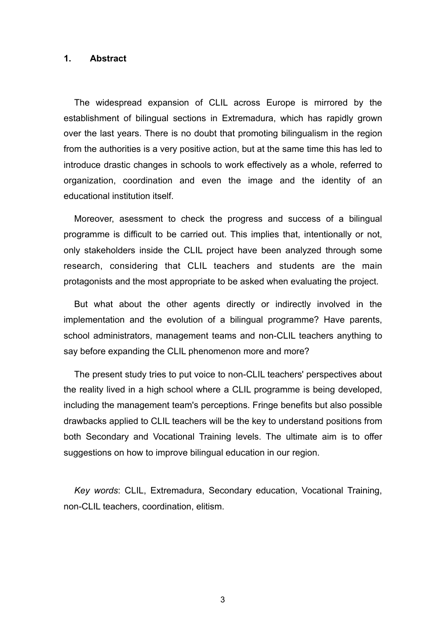#### **1. Abstract**

The widespread expansion of CLIL across Europe is mirrored by the establishment of bilingual sections in Extremadura, which has rapidly grown over the last years. There is no doubt that promoting bilingualism in the region from the authorities is a very positive action, but at the same time this has led to introduce drastic changes in schools to work effectively as a whole, referred to organization, coordination and even the image and the identity of an educational institution itself.

Moreover, asessment to check the progress and success of a bilingual programme is difficult to be carried out. This implies that, intentionally or not, only stakeholders inside the CLIL project have been analyzed through some research, considering that CLIL teachers and students are the main protagonists and the most appropriate to be asked when evaluating the project.

But what about the other agents directly or indirectly involved in the implementation and the evolution of a bilingual programme? Have parents, school administrators, management teams and non-CLIL teachers anything to say before expanding the CLIL phenomenon more and more?

The present study tries to put voice to non-CLIL teachers' perspectives about the reality lived in a high school where a CLIL programme is being developed, including the management team's perceptions. Fringe benefits but also possible drawbacks applied to CLIL teachers will be the key to understand positions from both Secondary and Vocational Training levels. The ultimate aim is to offer suggestions on how to improve bilingual education in our region.

*Key words*: CLIL, Extremadura, Secondary education, Vocational Training, non-CLIL teachers, coordination, elitism.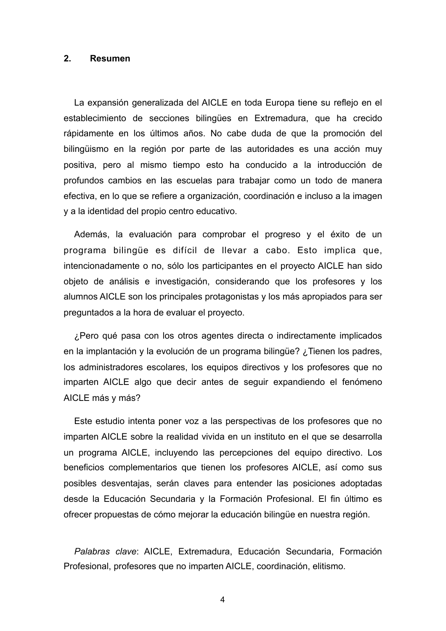#### **2. Resumen**

La expansión generalizada del AICLE en toda Europa tiene su reflejo en el establecimiento de secciones bilingües en Extremadura, que ha crecido rápidamente en los últimos años. No cabe duda de que la promoción del bilingüismo en la región por parte de las autoridades es una acción muy positiva, pero al mismo tiempo esto ha conducido a la introducción de profundos cambios en las escuelas para trabajar como un todo de manera efectiva, en lo que se refiere a organización, coordinación e incluso a la imagen y a la identidad del propio centro educativo.

Además, la evaluación para comprobar el progreso y el éxito de un programa bilingüe es difícil de llevar a cabo. Esto implica que, intencionadamente o no, sólo los participantes en el proyecto AICLE han sido objeto de análisis e investigación, considerando que los profesores y los alumnos AICLE son los principales protagonistas y los más apropiados para ser preguntados a la hora de evaluar el proyecto.

¿Pero qué pasa con los otros agentes directa o indirectamente implicados en la implantación y la evolución de un programa bilingüe? ¿Tienen los padres, los administradores escolares, los equipos directivos y los profesores que no imparten AICLE algo que decir antes de seguir expandiendo el fenómeno AICLE más y más?

Este estudio intenta poner voz a las perspectivas de los profesores que no imparten AICLE sobre la realidad vivida en un instituto en el que se desarrolla un programa AICLE, incluyendo las percepciones del equipo directivo. Los beneficios complementarios que tienen los profesores AICLE, así como sus posibles desventajas, serán claves para entender las posiciones adoptadas desde la Educación Secundaria y la Formación Profesional. El fin último es ofrecer propuestas de cómo mejorar la educación bilingüe en nuestra región.

*Palabras clave*: AICLE, Extremadura, Educación Secundaria, Formación Profesional, profesores que no imparten AICLE, coordinación, elitismo.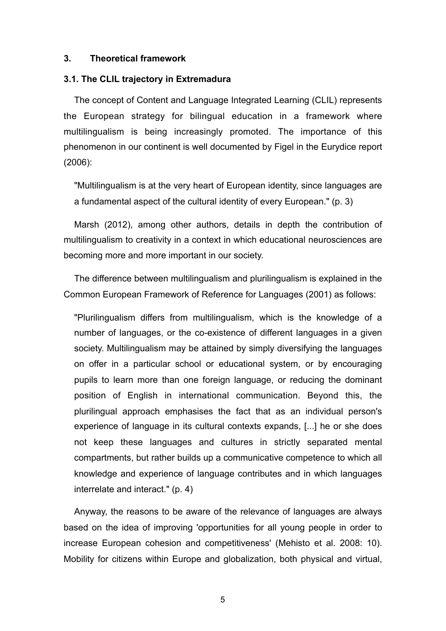#### **3. Theoretical framework**

#### **3.1. The CLIL trajectory in Extremadura**

The concept of Content and Language Integrated Learning (CLIL) represents the European strategy for bilingual education in a framework where multilingualism is being increasingly promoted. The importance of this phenomenon in our continent is well documented by Figel in the Eurydice report (2006):

"Multilingualism is at the very heart of European identity, since languages are a fundamental aspect of the cultural identity of every European." (p. 3)

Marsh (2012), among other authors, details in depth the contribution of multilingualism to creativity in a context in which educational neurosciences are becoming more and more important in our society.

The difference between multilingualism and plurilingualism is explained in the Common European Framework of Reference for Languages (2001) as follows:

"Plurilingualism differs from multilingualism, which is the knowledge of a number of languages, or the co-existence of different languages in a given society. Multilingualism may be attained by simply diversifying the languages on offer in a particular school or educational system, or by encouraging pupils to learn more than one foreign language, or reducing the dominant position of English in international communication. Beyond this, the plurilingual approach emphasises the fact that as an individual person's experience of language in its cultural contexts expands, [...] he or she does not keep these languages and cultures in strictly separated mental compartments, but rather builds up a communicative competence to which all knowledge and experience of language contributes and in which languages interrelate and interact." (p. 4)

Anyway, the reasons to be aware of the relevance of languages are always based on the idea of improving 'opportunities for all young people in order to increase European cohesion and competitiveness' (Mehisto et al. 2008: 10). Mobility for citizens within Europe and globalization, both physical and virtual,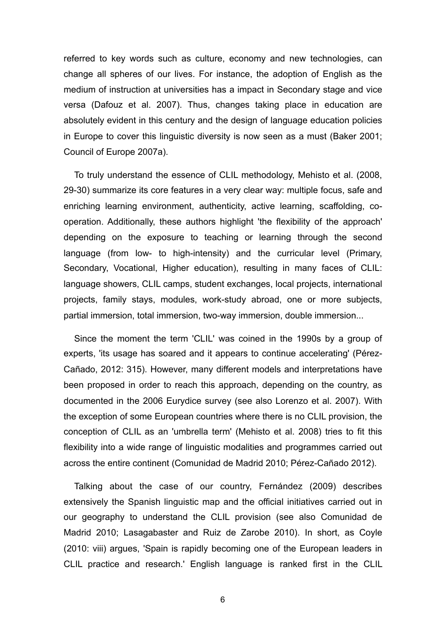referred to key words such as culture, economy and new technologies, can change all spheres of our lives. For instance, the adoption of English as the medium of instruction at universities has a impact in Secondary stage and vice versa (Dafouz et al. 2007). Thus, changes taking place in education are absolutely evident in this century and the design of language education policies in Europe to cover this linguistic diversity is now seen as a must (Baker 2001; Council of Europe 2007a).

To truly understand the essence of CLIL methodology, Mehisto et al. (2008, 29-30) summarize its core features in a very clear way: multiple focus, safe and enriching learning environment, authenticity, active learning, scaffolding, cooperation. Additionally, these authors highlight 'the flexibility of the approach' depending on the exposure to teaching or learning through the second language (from low- to high-intensity) and the curricular level (Primary, Secondary, Vocational, Higher education), resulting in many faces of CLIL: language showers, CLIL camps, student exchanges, local projects, international projects, family stays, modules, work-study abroad, one or more subjects, partial immersion, total immersion, two-way immersion, double immersion...

Since the moment the term 'CLIL' was coined in the 1990s by a group of experts, 'its usage has soared and it appears to continue accelerating' (Pérez-Cañado, 2012: 315). However, many different models and interpretations have been proposed in order to reach this approach, depending on the country, as documented in the 2006 Eurydice survey (see also Lorenzo et al. 2007). With the exception of some European countries where there is no CLIL provision, the conception of CLIL as an 'umbrella term' (Mehisto et al. 2008) tries to fit this flexibility into a wide range of linguistic modalities and programmes carried out across the entire continent (Comunidad de Madrid 2010; Pérez-Cañado 2012).

Talking about the case of our country, Fernández (2009) describes extensively the Spanish linguistic map and the official initiatives carried out in our geography to understand the CLIL provision (see also Comunidad de Madrid 2010; Lasagabaster and Ruiz de Zarobe 2010). In short, as Coyle (2010: viii) argues, 'Spain is rapidly becoming one of the European leaders in CLIL practice and research.' English language is ranked first in the CLIL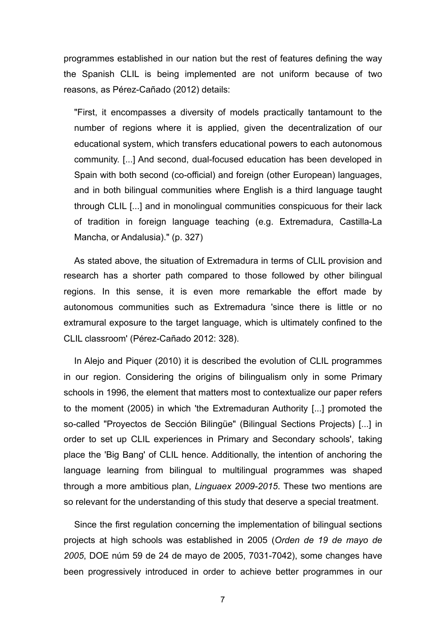programmes established in our nation but the rest of features defining the way the Spanish CLIL is being implemented are not uniform because of two reasons, as Pérez-Cañado (2012) details:

"First, it encompasses a diversity of models practically tantamount to the number of regions where it is applied, given the decentralization of our educational system, which transfers educational powers to each autonomous community. [...] And second, dual-focused education has been developed in Spain with both second (co-official) and foreign (other European) languages, and in both bilingual communities where English is a third language taught through CLIL [...] and in monolingual communities conspicuous for their lack of tradition in foreign language teaching (e.g. Extremadura, Castilla-La Mancha, or Andalusia)." (p. 327)

As stated above, the situation of Extremadura in terms of CLIL provision and research has a shorter path compared to those followed by other bilingual regions. In this sense, it is even more remarkable the effort made by autonomous communities such as Extremadura 'since there is little or no extramural exposure to the target language, which is ultimately confined to the CLIL classroom' (Pérez-Cañado 2012: 328).

In Alejo and Piquer (2010) it is described the evolution of CLIL programmes in our region. Considering the origins of bilingualism only in some Primary schools in 1996, the element that matters most to contextualize our paper refers to the moment (2005) in which 'the Extremaduran Authority [...] promoted the so-called "Proyectos de Sección Bilingüe" (Bilingual Sections Projects) [...] in order to set up CLIL experiences in Primary and Secondary schools', taking place the 'Big Bang' of CLIL hence. Additionally, the intention of anchoring the language learning from bilingual to multilingual programmes was shaped through a more ambitious plan, *Linguaex 2009-2015*. These two mentions are so relevant for the understanding of this study that deserve a special treatment.

Since the first regulation concerning the implementation of bilingual sections projects at high schools was established in 2005 (*Orden de 19 de mayo de 2005*, DOE núm 59 de 24 de mayo de 2005, 7031-7042), some changes have been progressively introduced in order to achieve better programmes in our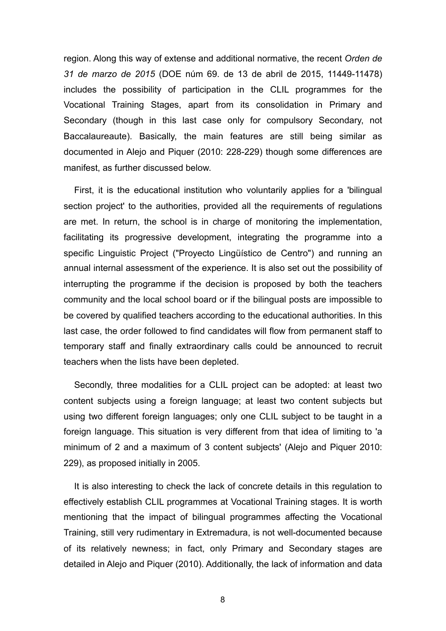region. Along this way of extense and additional normative, the recent *Orden de 31 de marzo de 2015* (DOE núm 69. de 13 de abril de 2015, 11449-11478) includes the possibility of participation in the CLIL programmes for the Vocational Training Stages, apart from its consolidation in Primary and Secondary (though in this last case only for compulsory Secondary, not Baccalaureaute). Basically, the main features are still being similar as documented in Alejo and Piquer (2010: 228-229) though some differences are manifest, as further discussed below.

First, it is the educational institution who voluntarily applies for a 'bilingual section project' to the authorities, provided all the requirements of regulations are met. In return, the school is in charge of monitoring the implementation, facilitating its progressive development, integrating the programme into a specific Linguistic Project ("Proyecto Lingüístico de Centro") and running an annual internal assessment of the experience. It is also set out the possibility of interrupting the programme if the decision is proposed by both the teachers community and the local school board or if the bilingual posts are impossible to be covered by qualified teachers according to the educational authorities. In this last case, the order followed to find candidates will flow from permanent staff to temporary staff and finally extraordinary calls could be announced to recruit teachers when the lists have been depleted.

Secondly, three modalities for a CLIL project can be adopted: at least two content subjects using a foreign language; at least two content subjects but using two different foreign languages; only one CLIL subject to be taught in a foreign language. This situation is very different from that idea of limiting to 'a minimum of 2 and a maximum of 3 content subjects' (Alejo and Piquer 2010: 229), as proposed initially in 2005.

It is also interesting to check the lack of concrete details in this regulation to effectively establish CLIL programmes at Vocational Training stages. It is worth mentioning that the impact of bilingual programmes affecting the Vocational Training, still very rudimentary in Extremadura, is not well-documented because of its relatively newness; in fact, only Primary and Secondary stages are detailed in Alejo and Piquer (2010). Additionally, the lack of information and data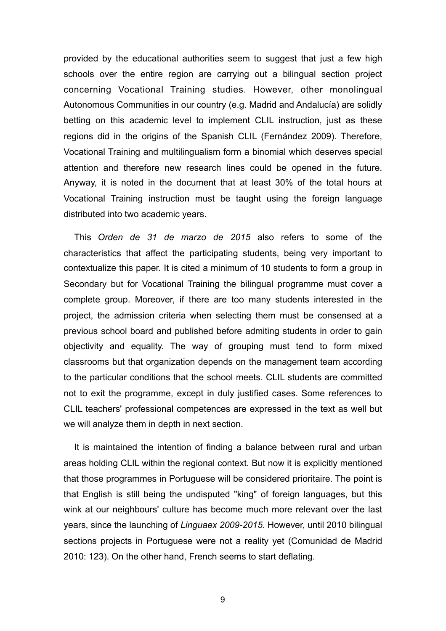provided by the educational authorities seem to suggest that just a few high schools over the entire region are carrying out a bilingual section project concerning Vocational Training studies. However, other monolingual Autonomous Communities in our country (e.g. Madrid and Andalucía) are solidly betting on this academic level to implement CLIL instruction, just as these regions did in the origins of the Spanish CLIL (Fernández 2009). Therefore, Vocational Training and multilingualism form a binomial which deserves special attention and therefore new research lines could be opened in the future. Anyway, it is noted in the document that at least 30% of the total hours at Vocational Training instruction must be taught using the foreign language distributed into two academic years.

This *Orden de 31 de marzo de 2015* also refers to some of the characteristics that affect the participating students, being very important to contextualize this paper. It is cited a minimum of 10 students to form a group in Secondary but for Vocational Training the bilingual programme must cover a complete group. Moreover, if there are too many students interested in the project, the admission criteria when selecting them must be consensed at a previous school board and published before admiting students in order to gain objectivity and equality. The way of grouping must tend to form mixed classrooms but that organization depends on the management team according to the particular conditions that the school meets. CLIL students are committed not to exit the programme, except in duly justified cases. Some references to CLIL teachers' professional competences are expressed in the text as well but we will analyze them in depth in next section.

It is maintained the intention of finding a balance between rural and urban areas holding CLIL within the regional context. But now it is explicitly mentioned that those programmes in Portuguese will be considered prioritaire. The point is that English is still being the undisputed "king" of foreign languages, but this wink at our neighbours' culture has become much more relevant over the last years, since the launching of *Linguaex 2009-2015*. However, until 2010 bilingual sections projects in Portuguese were not a reality yet (Comunidad de Madrid 2010: 123). On the other hand, French seems to start deflating.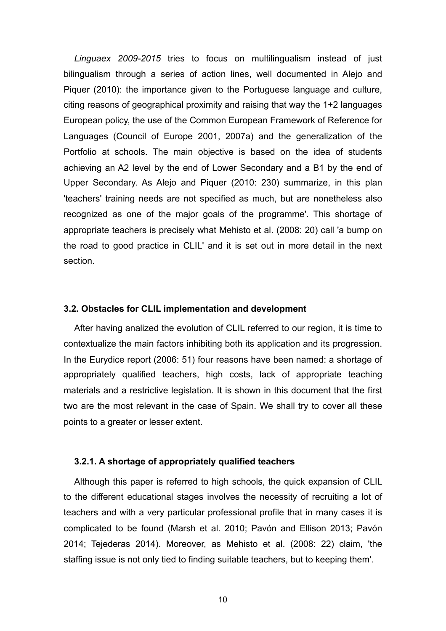*Linguaex 2009-2015* tries to focus on multilingualism instead of just bilingualism through a series of action lines, well documented in Alejo and Piquer (2010): the importance given to the Portuguese language and culture, citing reasons of geographical proximity and raising that way the 1+2 languages European policy, the use of the Common European Framework of Reference for Languages (Council of Europe 2001, 2007a) and the generalization of the Portfolio at schools. The main objective is based on the idea of students achieving an A2 level by the end of Lower Secondary and a B1 by the end of Upper Secondary. As Alejo and Piquer (2010: 230) summarize, in this plan 'teachers' training needs are not specified as much, but are nonetheless also recognized as one of the major goals of the programme'. This shortage of appropriate teachers is precisely what Mehisto et al. (2008: 20) call 'a bump on the road to good practice in CLIL' and it is set out in more detail in the next section.

#### **3.2. Obstacles for CLIL implementation and development**

After having analized the evolution of CLIL referred to our region, it is time to contextualize the main factors inhibiting both its application and its progression. In the Eurydice report (2006: 51) four reasons have been named: a shortage of appropriately qualified teachers, high costs, lack of appropriate teaching materials and a restrictive legislation. It is shown in this document that the first two are the most relevant in the case of Spain. We shall try to cover all these points to a greater or lesser extent.

#### **3.2.1. A shortage of appropriately qualified teachers**

Although this paper is referred to high schools, the quick expansion of CLIL to the different educational stages involves the necessity of recruiting a lot of teachers and with a very particular professional profile that in many cases it is complicated to be found (Marsh et al. 2010; Pavón and Ellison 2013; Pavón 2014; Tejederas 2014). Moreover, as Mehisto et al. (2008: 22) claim, 'the staffing issue is not only tied to finding suitable teachers, but to keeping them'.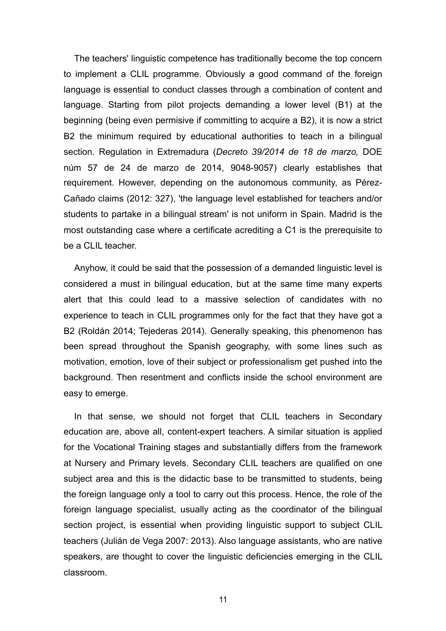The teachers' linguistic competence has traditionally become the top concern to implement a CLIL programme. Obviously a good command of the foreign language is essential to conduct classes through a combination of content and language. Starting from pilot projects demanding a lower level (B1) at the beginning (being even permisive if committing to acquire a B2), it is now a strict B2 the minimum required by educational authorities to teach in a bilingual section. Regulation in Extremadura (*Decreto 39/2014 de 18 de marzo,* DOE núm 57 de 24 de marzo de 2014, 9048-9057) clearly establishes that requirement. However, depending on the autonomous community, as Pérez-Cañado claims (2012: 327), 'the language level established for teachers and/or students to partake in a bilingual stream' is not uniform in Spain. Madrid is the most outstanding case where a certificate acrediting a C1 is the prerequisite to be a CLIL teacher.

Anyhow, it could be said that the possession of a demanded linguistic level is considered a must in bilingual education, but at the same time many experts alert that this could lead to a massive selection of candidates with no experience to teach in CLIL programmes only for the fact that they have got a B2 (Roldán 2014; Tejederas 2014). Generally speaking, this phenomenon has been spread throughout the Spanish geography, with some lines such as motivation, emotion, love of their subject or professionalism get pushed into the background. Then resentment and conflicts inside the school environment are easy to emerge.

In that sense, we should not forget that CLIL teachers in Secondary education are, above all, content-expert teachers. A similar situation is applied for the Vocational Training stages and substantially differs from the framework at Nursery and Primary levels. Secondary CLIL teachers are qualified on one subject area and this is the didactic base to be transmitted to students, being the foreign language only a tool to carry out this process. Hence, the role of the foreign language specialist, usually acting as the coordinator of the bilingual section project, is essential when providing linguistic support to subject CLIL teachers (Julián de Vega 2007: 2013). Also language assistants, who are native speakers, are thought to cover the linguistic deficiencies emerging in the CLIL classroom.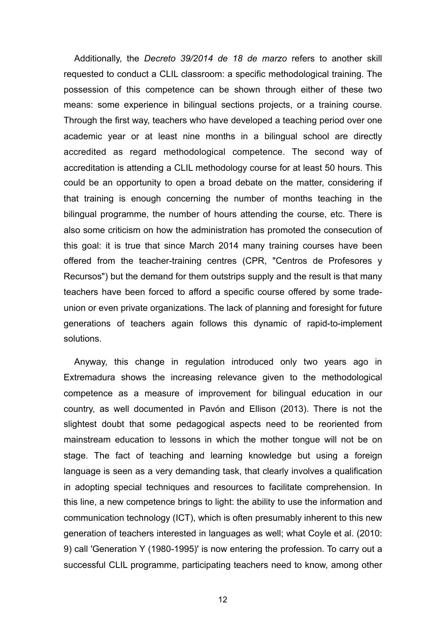Additionally, the *Decreto 39/2014 de 18 de marzo* refers to another skill requested to conduct a CLIL classroom: a specific methodological training. The possession of this competence can be shown through either of these two means: some experience in bilingual sections projects, or a training course. Through the first way, teachers who have developed a teaching period over one academic year or at least nine months in a bilingual school are directly accredited as regard methodological competence. The second way of accreditation is attending a CLIL methodology course for at least 50 hours. This could be an opportunity to open a broad debate on the matter, considering if that training is enough concerning the number of months teaching in the bilingual programme, the number of hours attending the course, etc. There is also some criticism on how the administration has promoted the consecution of this goal: it is true that since March 2014 many training courses have been offered from the teacher-training centres (CPR, "Centros de Profesores y Recursos") but the demand for them outstrips supply and the result is that many teachers have been forced to afford a specific course offered by some tradeunion or even private organizations. The lack of planning and foresight for future generations of teachers again follows this dynamic of rapid-to-implement solutions.

Anyway, this change in regulation introduced only two years ago in Extremadura shows the increasing relevance given to the methodological competence as a measure of improvement for bilingual education in our country, as well documented in Pavón and Ellison (2013). There is not the slightest doubt that some pedagogical aspects need to be reoriented from mainstream education to lessons in which the mother tongue will not be on stage. The fact of teaching and learning knowledge but using a foreign language is seen as a very demanding task, that clearly involves a qualification in adopting special techniques and resources to facilitate comprehension. In this line, a new competence brings to light: the ability to use the information and communication technology (ICT), which is often presumably inherent to this new generation of teachers interested in languages as well; what Coyle et al. (2010: 9) call 'Generation Y (1980-1995)' is now entering the profession. To carry out a successful CLIL programme, participating teachers need to know, among other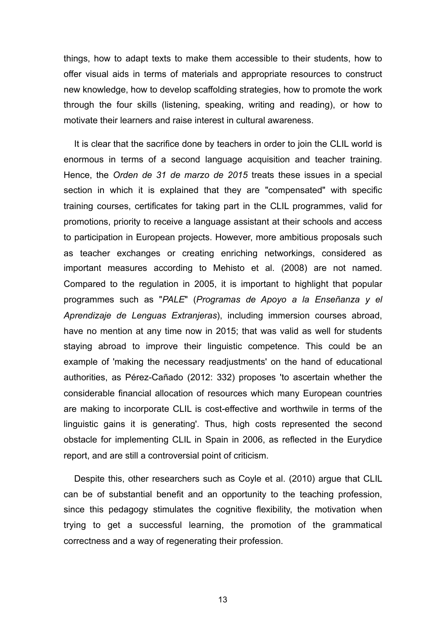things, how to adapt texts to make them accessible to their students, how to offer visual aids in terms of materials and appropriate resources to construct new knowledge, how to develop scaffolding strategies, how to promote the work through the four skills (listening, speaking, writing and reading), or how to motivate their learners and raise interest in cultural awareness.

It is clear that the sacrifice done by teachers in order to join the CLIL world is enormous in terms of a second language acquisition and teacher training. Hence, the *Orden de 31 de marzo de 2015* treats these issues in a special section in which it is explained that they are "compensated" with specific training courses, certificates for taking part in the CLIL programmes, valid for promotions, priority to receive a language assistant at their schools and access to participation in European projects. However, more ambitious proposals such as teacher exchanges or creating enriching networkings, considered as important measures according to Mehisto et al. (2008) are not named. Compared to the regulation in 2005, it is important to highlight that popular programmes such as "*PALE*" (*Programas de Apoyo a la Enseñanza y el Aprendizaje de Lenguas Extranjeras*), including immersion courses abroad, have no mention at any time now in 2015; that was valid as well for students staying abroad to improve their linguistic competence. This could be an example of 'making the necessary readjustments' on the hand of educational authorities, as Pérez-Cañado (2012: 332) proposes 'to ascertain whether the considerable financial allocation of resources which many European countries are making to incorporate CLIL is cost-effective and worthwile in terms of the linguistic gains it is generating'. Thus, high costs represented the second obstacle for implementing CLIL in Spain in 2006, as reflected in the Eurydice report, and are still a controversial point of criticism.

Despite this, other researchers such as Coyle et al. (2010) argue that CLIL can be of substantial benefit and an opportunity to the teaching profession, since this pedagogy stimulates the cognitive flexibility, the motivation when trying to get a successful learning, the promotion of the grammatical correctness and a way of regenerating their profession.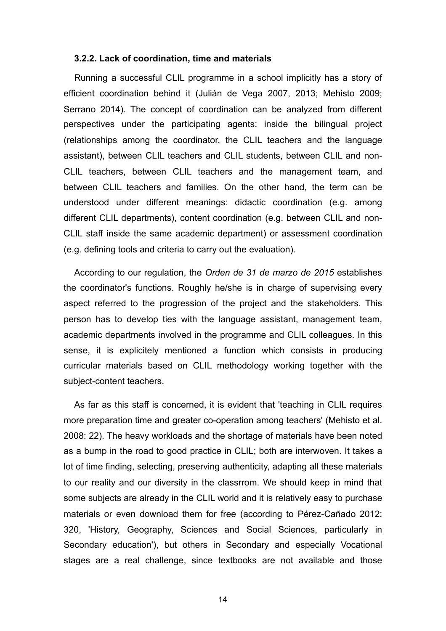#### **3.2.2. Lack of coordination, time and materials**

Running a successful CLIL programme in a school implicitly has a story of efficient coordination behind it (Julián de Vega 2007, 2013; Mehisto 2009; Serrano 2014). The concept of coordination can be analyzed from different perspectives under the participating agents: inside the bilingual project (relationships among the coordinator, the CLIL teachers and the language assistant), between CLIL teachers and CLIL students, between CLIL and non-CLIL teachers, between CLIL teachers and the management team, and between CLIL teachers and families. On the other hand, the term can be understood under different meanings: didactic coordination (e.g. among different CLIL departments), content coordination (e.g. between CLIL and non-CLIL staff inside the same academic department) or assessment coordination (e.g. defining tools and criteria to carry out the evaluation).

According to our regulation, the *Orden de 31 de marzo de 2015* establishes the coordinator's functions. Roughly he/she is in charge of supervising every aspect referred to the progression of the project and the stakeholders. This person has to develop ties with the language assistant, management team, academic departments involved in the programme and CLIL colleagues. In this sense, it is explicitely mentioned a function which consists in producing curricular materials based on CLIL methodology working together with the subject-content teachers.

As far as this staff is concerned, it is evident that 'teaching in CLIL requires more preparation time and greater co-operation among teachers' (Mehisto et al. 2008: 22). The heavy workloads and the shortage of materials have been noted as a bump in the road to good practice in CLIL; both are interwoven. It takes a lot of time finding, selecting, preserving authenticity, adapting all these materials to our reality and our diversity in the classrrom. We should keep in mind that some subjects are already in the CLIL world and it is relatively easy to purchase materials or even download them for free (according to Pérez-Cañado 2012: 320, 'History, Geography, Sciences and Social Sciences, particularly in Secondary education'), but others in Secondary and especially Vocational stages are a real challenge, since textbooks are not available and those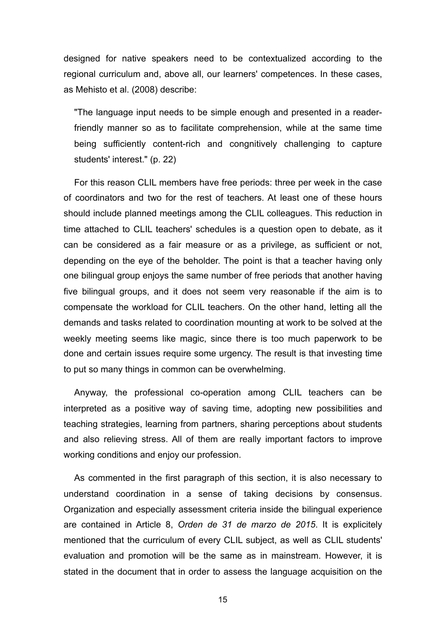designed for native speakers need to be contextualized according to the regional curriculum and, above all, our learners' competences. In these cases, as Mehisto et al. (2008) describe:

"The language input needs to be simple enough and presented in a readerfriendly manner so as to facilitate comprehension, while at the same time being sufficiently content-rich and congnitively challenging to capture students' interest." (p. 22)

For this reason CLIL members have free periods: three per week in the case of coordinators and two for the rest of teachers. At least one of these hours should include planned meetings among the CLIL colleagues. This reduction in time attached to CLIL teachers' schedules is a question open to debate, as it can be considered as a fair measure or as a privilege, as sufficient or not, depending on the eye of the beholder. The point is that a teacher having only one bilingual group enjoys the same number of free periods that another having five bilingual groups, and it does not seem very reasonable if the aim is to compensate the workload for CLIL teachers. On the other hand, letting all the demands and tasks related to coordination mounting at work to be solved at the weekly meeting seems like magic, since there is too much paperwork to be done and certain issues require some urgency. The result is that investing time to put so many things in common can be overwhelming.

Anyway, the professional co-operation among CLIL teachers can be interpreted as a positive way of saving time, adopting new possibilities and teaching strategies, learning from partners, sharing perceptions about students and also relieving stress. All of them are really important factors to improve working conditions and enjoy our profession.

As commented in the first paragraph of this section, it is also necessary to understand coordination in a sense of taking decisions by consensus. Organization and especially assessment criteria inside the bilingual experience are contained in Article 8, *Orden de 31 de marzo de 2015*. It is explicitely mentioned that the curriculum of every CLIL subject, as well as CLIL students' evaluation and promotion will be the same as in mainstream. However, it is stated in the document that in order to assess the language acquisition on the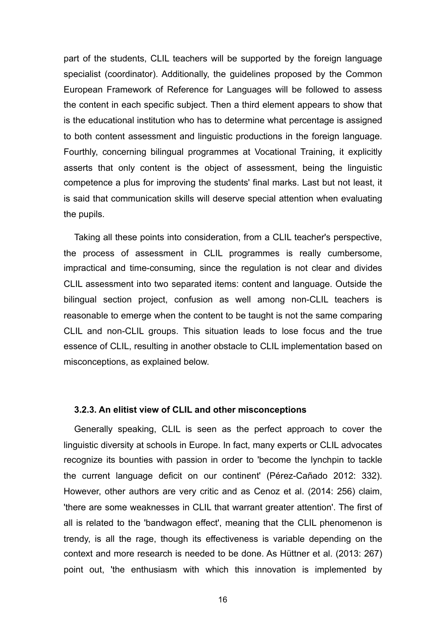part of the students, CLIL teachers will be supported by the foreign language specialist (coordinator). Additionally, the guidelines proposed by the Common European Framework of Reference for Languages will be followed to assess the content in each specific subject. Then a third element appears to show that is the educational institution who has to determine what percentage is assigned to both content assessment and linguistic productions in the foreign language. Fourthly, concerning bilingual programmes at Vocational Training, it explicitly asserts that only content is the object of assessment, being the linguistic competence a plus for improving the students' final marks. Last but not least, it is said that communication skills will deserve special attention when evaluating the pupils.

Taking all these points into consideration, from a CLIL teacher's perspective, the process of assessment in CLIL programmes is really cumbersome, impractical and time-consuming, since the regulation is not clear and divides CLIL assessment into two separated items: content and language. Outside the bilingual section project, confusion as well among non-CLIL teachers is reasonable to emerge when the content to be taught is not the same comparing CLIL and non-CLIL groups. This situation leads to lose focus and the true essence of CLIL, resulting in another obstacle to CLIL implementation based on misconceptions, as explained below.

#### **3.2.3. An elitist view of CLIL and other misconceptions**

Generally speaking, CLIL is seen as the perfect approach to cover the linguistic diversity at schools in Europe. In fact, many experts or CLIL advocates recognize its bounties with passion in order to 'become the lynchpin to tackle the current language deficit on our continent' (Pérez-Cañado 2012: 332). However, other authors are very critic and as Cenoz et al. (2014: 256) claim, 'there are some weaknesses in CLIL that warrant greater attention'. The first of all is related to the 'bandwagon effect', meaning that the CLIL phenomenon is trendy, is all the rage, though its effectiveness is variable depending on the context and more research is needed to be done. As Hüttner et al. (2013: 267) point out, 'the enthusiasm with which this innovation is implemented by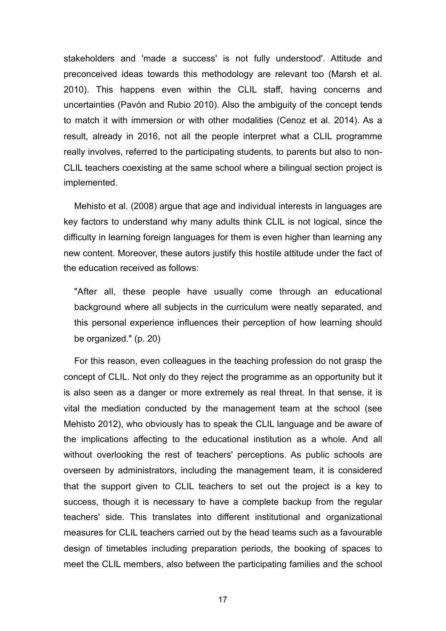stakeholders and 'made a success' is not fully understood'. Attitude and preconceived ideas towards this methodology are relevant too (Marsh et al. 2010). This happens even within the CLIL staff, having concerns and uncertainties (Pavón and Rubio 2010). Also the ambiguity of the concept tends to match it with immersion or with other modalities (Cenoz et al. 2014). As a result, already in 2016, not all the people interpret what a CLIL programme really involves, referred to the participating students, to parents but also to non-CLIL teachers coexisting at the same school where a bilingual section project is implemented.

Mehisto et al. (2008) argue that age and individual interests in languages are key factors to understand why many adults think CLIL is not logical, since the difficulty in learning foreign languages for them is even higher than learning any new content. Moreover, these autors justify this hostile attitude under the fact of the education received as follows:

"After all, these people have usually come through an educational background where all subjects in the curriculum were neatly separated, and this personal experience influences their perception of how learning should be organized." (p. 20)

For this reason, even colleagues in the teaching profession do not grasp the concept of CLIL. Not only do they reject the programme as an opportunity but it is also seen as a danger or more extremely as real threat. In that sense, it is vital the mediation conducted by the management team at the school (see Mehisto 2012), who obviously has to speak the CLIL language and be aware of the implications affecting to the educational institution as a whole. And all without overlooking the rest of teachers' perceptions. As public schools are overseen by administrators, including the management team, it is considered that the support given to CLIL teachers to set out the project is a key to success, though it is necessary to have a complete backup from the regular teachers' side. This translates into different institutional and organizational measures for CLIL teachers carried out by the head teams such as a favourable design of timetables including preparation periods, the booking of spaces to meet the CLIL members, also between the participating families and the school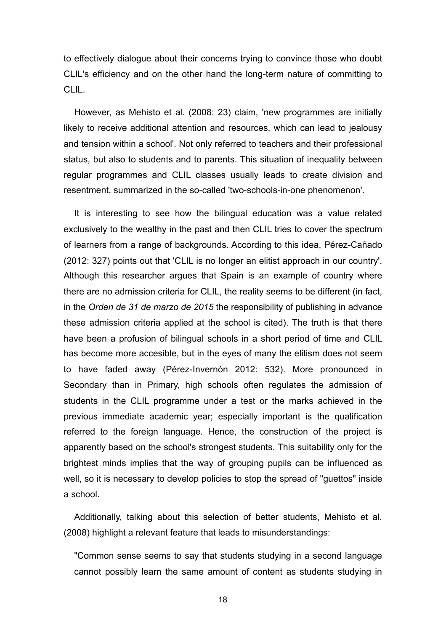to effectively dialogue about their concerns trying to convince those who doubt CLIL's efficiency and on the other hand the long-term nature of committing to CLIL.

However, as Mehisto et al. (2008: 23) claim, 'new programmes are initially likely to receive additional attention and resources, which can lead to jealousy and tension within a school'. Not only referred to teachers and their professional status, but also to students and to parents. This situation of inequality between regular programmes and CLIL classes usually leads to create division and resentment, summarized in the so-called 'two-schools-in-one phenomenon'.

It is interesting to see how the bilingual education was a value related exclusively to the wealthy in the past and then CLIL tries to cover the spectrum of learners from a range of backgrounds. According to this idea, Pérez-Cañado (2012: 327) points out that 'CLIL is no longer an elitist approach in our country'. Although this researcher argues that Spain is an example of country where there are no admission criteria for CLIL, the reality seems to be different (in fact, in the *Orden de 31 de marzo de 2015* the responsibility of publishing in advance these admission criteria applied at the school is cited). The truth is that there have been a profusion of bilingual schools in a short period of time and CLIL has become more accesible, but in the eyes of many the elitism does not seem to have faded away (Pérez-Invernón 2012: 532). More pronounced in Secondary than in Primary, high schools often regulates the admission of students in the CLIL programme under a test or the marks achieved in the previous immediate academic year; especially important is the qualification referred to the foreign language. Hence, the construction of the project is apparently based on the school's strongest students. This suitability only for the brightest minds implies that the way of grouping pupils can be influenced as well, so it is necessary to develop policies to stop the spread of "guettos" inside a school.

Additionally, talking about this selection of better students, Mehisto et al. (2008) highlight a relevant feature that leads to misunderstandings:

"Common sense seems to say that students studying in a second language cannot possibly learn the same amount of content as students studying in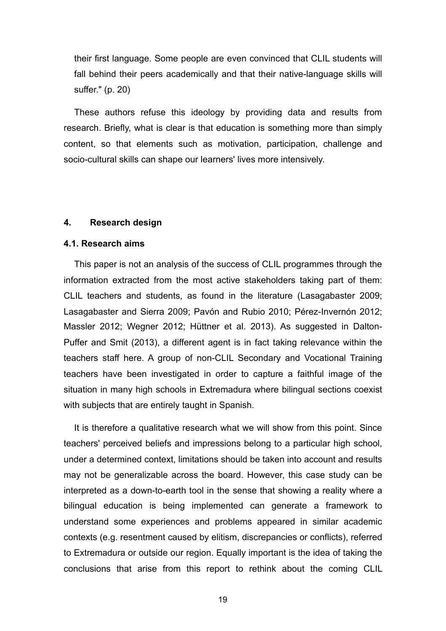their first language. Some people are even convinced that CLIL students will fall behind their peers academically and that their native-language skills will suffer." (p. 20)

These authors refuse this ideology by providing data and results from research. Briefly, what is clear is that education is something more than simply content, so that elements such as motivation, participation, challenge and socio-cultural skills can shape our learners' lives more intensively.

#### **4. Research design**

#### **4.1. Research aims**

This paper is not an analysis of the success of CLIL programmes through the information extracted from the most active stakeholders taking part of them: CLIL teachers and students, as found in the literature (Lasagabaster 2009; Lasagabaster and Sierra 2009; Pavón and Rubio 2010; Pérez-Invernón 2012; Massler 2012; Wegner 2012; Hüttner et al. 2013). As suggested in Dalton-Puffer and Smit (2013), a different agent is in fact taking relevance within the teachers staff here. A group of non-CLIL Secondary and Vocational Training teachers have been investigated in order to capture a faithful image of the situation in many high schools in Extremadura where bilingual sections coexist with subjects that are entirely taught in Spanish.

It is therefore a qualitative research what we will show from this point. Since teachers' perceived beliefs and impressions belong to a particular high school, under a determined context, limitations should be taken into account and results may not be generalizable across the board. However, this case study can be interpreted as a down-to-earth tool in the sense that showing a reality where a bilingual education is being implemented can generate a framework to understand some experiences and problems appeared in similar academic contexts (e.g. resentment caused by elitism, discrepancies or conflicts), referred to Extremadura or outside our region. Equally important is the idea of taking the conclusions that arise from this report to rethink about the coming CLIL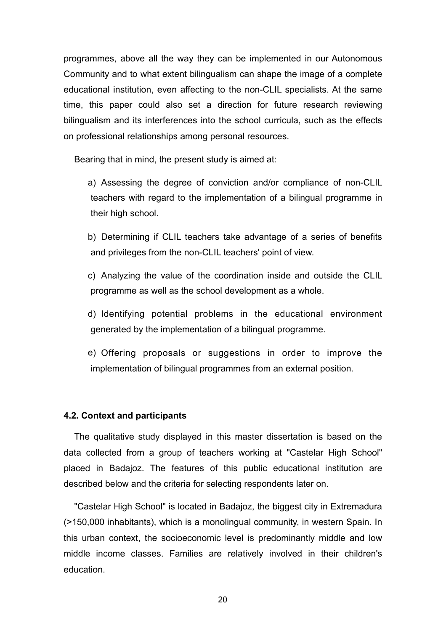programmes, above all the way they can be implemented in our Autonomous Community and to what extent bilingualism can shape the image of a complete educational institution, even affecting to the non-CLIL specialists. At the same time, this paper could also set a direction for future research reviewing bilingualism and its interferences into the school curricula, such as the effects on professional relationships among personal resources.

Bearing that in mind, the present study is aimed at:

- a) Assessing the degree of conviction and/or compliance of non-CLIL teachers with regard to the implementation of a bilingual programme in their high school.
- b) Determining if CLIL teachers take advantage of a series of benefits and privileges from the non-CLIL teachers' point of view.
- c) Analyzing the value of the coordination inside and outside the CLIL programme as well as the school development as a whole.
- d) Identifying potential problems in the educational environment generated by the implementation of a bilingual programme.
- e) Offering proposals or suggestions in order to improve the implementation of bilingual programmes from an external position.

#### **4.2. Context and participants**

The qualitative study displayed in this master dissertation is based on the data collected from a group of teachers working at "Castelar High School" placed in Badajoz. The features of this public educational institution are described below and the criteria for selecting respondents later on.

"Castelar High School" is located in Badajoz, the biggest city in Extremadura (>150,000 inhabitants), which is a monolingual community, in western Spain. In this urban context, the socioeconomic level is predominantly middle and low middle income classes. Families are relatively involved in their children's education.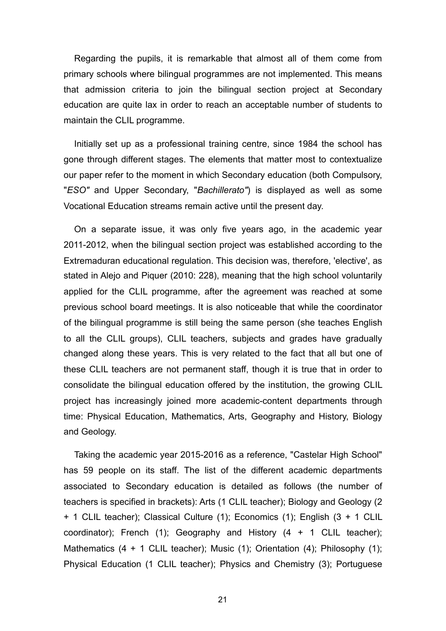Regarding the pupils, it is remarkable that almost all of them come from primary schools where bilingual programmes are not implemented. This means that admission criteria to join the bilingual section project at Secondary education are quite lax in order to reach an acceptable number of students to maintain the CLIL programme.

Initially set up as a professional training centre, since 1984 the school has gone through different stages. The elements that matter most to contextualize our paper refer to the moment in which Secondary education (both Compulsory, "*ESO"* and Upper Secondary, "*Bachillerato"*) is displayed as well as some Vocational Education streams remain active until the present day.

On a separate issue, it was only five years ago, in the academic year 2011-2012, when the bilingual section project was established according to the Extremaduran educational regulation. This decision was, therefore, 'elective', as stated in Alejo and Piquer (2010: 228), meaning that the high school voluntarily applied for the CLIL programme, after the agreement was reached at some previous school board meetings. It is also noticeable that while the coordinator of the bilingual programme is still being the same person (she teaches English to all the CLIL groups), CLIL teachers, subjects and grades have gradually changed along these years. This is very related to the fact that all but one of these CLIL teachers are not permanent staff, though it is true that in order to consolidate the bilingual education offered by the institution, the growing CLIL project has increasingly joined more academic-content departments through time: Physical Education, Mathematics, Arts, Geography and History, Biology and Geology.

Taking the academic year 2015-2016 as a reference, "Castelar High School" has 59 people on its staff. The list of the different academic departments associated to Secondary education is detailed as follows (the number of teachers is specified in brackets): Arts (1 CLIL teacher); Biology and Geology (2 + 1 CLIL teacher); Classical Culture (1); Economics (1); English (3 + 1 CLIL coordinator); French (1); Geography and History  $(4 + 1$  CLIL teacher); Mathematics  $(4 + 1$  CLIL teacher); Music  $(1)$ ; Orientation  $(4)$ ; Philosophy  $(1)$ ; Physical Education (1 CLIL teacher); Physics and Chemistry (3); Portuguese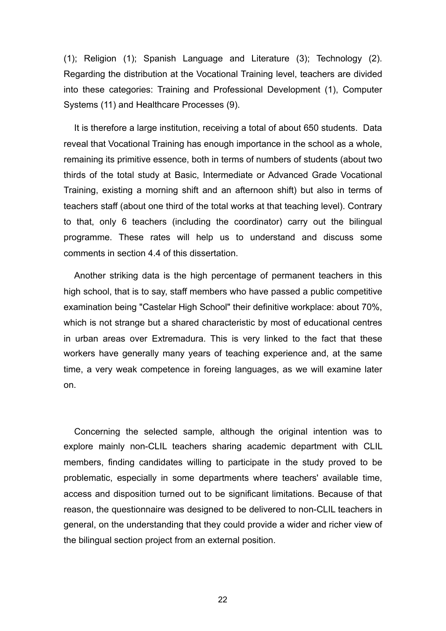(1); Religion (1); Spanish Language and Literature (3); Technology (2). Regarding the distribution at the Vocational Training level, teachers are divided into these categories: Training and Professional Development (1), Computer Systems (11) and Healthcare Processes (9).

It is therefore a large institution, receiving a total of about 650 students. Data reveal that Vocational Training has enough importance in the school as a whole, remaining its primitive essence, both in terms of numbers of students (about two thirds of the total study at Basic, Intermediate or Advanced Grade Vocational Training, existing a morning shift and an afternoon shift) but also in terms of teachers staff (about one third of the total works at that teaching level). Contrary to that, only 6 teachers (including the coordinator) carry out the bilingual programme. These rates will help us to understand and discuss some comments in section 4.4 of this dissertation.

Another striking data is the high percentage of permanent teachers in this high school, that is to say, staff members who have passed a public competitive examination being "Castelar High School" their definitive workplace: about 70%, which is not strange but a shared characteristic by most of educational centres in urban areas over Extremadura. This is very linked to the fact that these workers have generally many years of teaching experience and, at the same time, a very weak competence in foreing languages, as we will examine later on.

Concerning the selected sample, although the original intention was to explore mainly non-CLIL teachers sharing academic department with CLIL members, finding candidates willing to participate in the study proved to be problematic, especially in some departments where teachers' available time, access and disposition turned out to be significant limitations. Because of that reason, the questionnaire was designed to be delivered to non-CLIL teachers in general, on the understanding that they could provide a wider and richer view of the bilingual section project from an external position.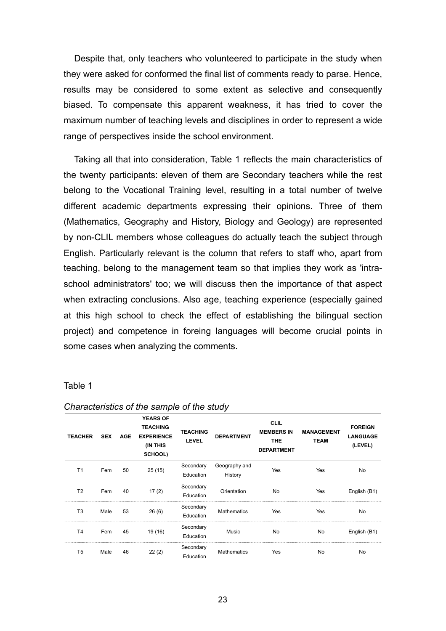Despite that, only teachers who volunteered to participate in the study when they were asked for conformed the final list of comments ready to parse. Hence, results may be considered to some extent as selective and consequently biased. To compensate this apparent weakness, it has tried to cover the maximum number of teaching levels and disciplines in order to represent a wide range of perspectives inside the school environment.

Taking all that into consideration, Table 1 reflects the main characteristics of the twenty participants: eleven of them are Secondary teachers while the rest belong to the Vocational Training level, resulting in a total number of twelve different academic departments expressing their opinions. Three of them (Mathematics, Geography and History, Biology and Geology) are represented by non-CLIL members whose colleagues do actually teach the subject through English. Particularly relevant is the column that refers to staff who, apart from teaching, belong to the management team so that implies they work as 'intraschool administrators' too; we will discuss then the importance of that aspect when extracting conclusions. Also age, teaching experience (especially gained at this high school to check the effect of establishing the bilingual section project) and competence in foreing languages will become crucial points in some cases when analyzing the comments.

#### Table 1

| <b>TEACHER</b> | <b>SEX</b> | <b>AGE</b> | <b>YEARS OF</b><br><b>TEACHING</b><br><b>EXPERIENCE</b><br>(IN THIS<br>SCHOOL) | <b>TEACHING</b><br><b>LEVEL</b> | <b>DEPARTMENT</b>        | <b>CLIL</b><br><b>MEMBERS IN</b><br><b>THE</b><br><b>DEPARTMENT</b> | <b>MANAGEMENT</b><br><b>TEAM</b> | <b>FOREIGN</b><br><b>LANGUAGE</b><br>(LEVEL) |
|----------------|------------|------------|--------------------------------------------------------------------------------|---------------------------------|--------------------------|---------------------------------------------------------------------|----------------------------------|----------------------------------------------|
| T <sub>1</sub> | Fem        | 50         | 25(15)                                                                         | Secondary<br>Education          | Geography and<br>History | Yes                                                                 | Yes                              | No                                           |
| T <sub>2</sub> | Fem        | 40         | 17(2)                                                                          | Secondary<br>Education          | Orientation              | No                                                                  | Yes                              | English (B1)                                 |
| T <sub>3</sub> | Male       | 53         | 26(6)                                                                          | Secondary<br>Education          | <b>Mathematics</b>       | Yes                                                                 | Yes                              | No                                           |
| T <sub>4</sub> | Fem        | 45         | 19 (16)                                                                        | Secondary<br>Education          | Music                    | No                                                                  | No                               | English (B1)                                 |
| T <sub>5</sub> | Male       | 46         | 22(2)                                                                          | Secondary<br>Education          | <b>Mathematics</b>       | Yes                                                                 | No                               | No                                           |

#### *Characteristics of the sample of the study*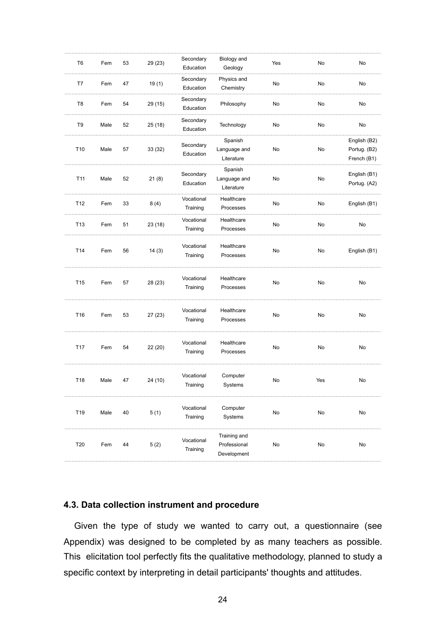| T <sub>6</sub>  | Fem  | 53 | 29 (23) | Secondary<br>Education | Biology and<br>Geology                      | Yes | No  | No                                          |
|-----------------|------|----|---------|------------------------|---------------------------------------------|-----|-----|---------------------------------------------|
| T7              | Fem  | 47 | 19(1)   | Secondary<br>Education | Physics and<br>Chemistry                    | No  | No  | No                                          |
| T <sub>8</sub>  | Fem  | 54 | 29 (15) | Secondary<br>Education | Philosophy                                  | No  | No  | No                                          |
| T <sub>9</sub>  | Male | 52 | 25(18)  | Secondary<br>Education | Technology                                  | No  | No  | No                                          |
| T10             | Male | 57 | 33(32)  | Secondary<br>Education | Spanish<br>Language and<br>Literature       | No  | No  | English (B2)<br>Portug. (B2)<br>French (B1) |
| T11             | Male | 52 | 21(8)   | Secondary<br>Education | Spanish<br>Language and<br>Literature       | No  | No  | English (B1)<br>Portug. (A2)                |
| T12             | Fem  | 33 | 8(4)    | Vocational<br>Training | Healthcare<br>Processes                     | No  | No  | English (B1)                                |
| T <sub>13</sub> | Fem  | 51 | 23(18)  | Vocational<br>Training | Healthcare<br>Processes                     | No  | No  | No                                          |
| T14             | Fem  | 56 | 14(3)   | Vocational<br>Training | Healthcare<br>Processes                     | No  | No  | English (B1)                                |
| T <sub>15</sub> | Fem  | 57 | 28 (23) | Vocational<br>Training | Healthcare<br>Processes                     | No  | No  | No                                          |
| T16             | Fem  | 53 | 27(23)  | Vocational<br>Training | Healthcare<br>Processes                     | No  | No  | No                                          |
| T17             | Fem  | 54 | 22 (20) | Vocational<br>Training | Healthcare<br>Processes                     | No  | No  | No                                          |
| T18             | Male | 47 | 24 (10) | Vocational<br>Training | Computer<br>Systems                         | No  | Yes | No                                          |
| T19             | Male | 40 | 5(1)    | Vocational<br>Training | Computer<br>Systems                         | No  | No  | No                                          |
| T20             | Fem  | 44 | 5(2)    | Vocational<br>Training | Training and<br>Professional<br>Development | No  | No  | No                                          |

## **4.3. Data collection instrument and procedure**

Given the type of study we wanted to carry out, a questionnaire (see Appendix) was designed to be completed by as many teachers as possible. This elicitation tool perfectly fits the qualitative methodology, planned to study a specific context by interpreting in detail participants' thoughts and attitudes.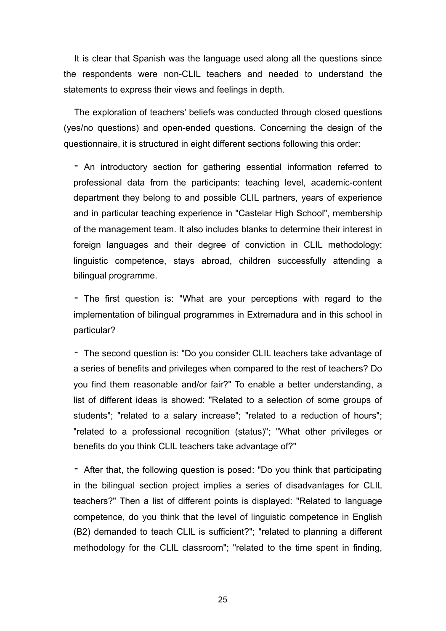It is clear that Spanish was the language used along all the questions since the respondents were non-CLIL teachers and needed to understand the statements to express their views and feelings in depth.

The exploration of teachers' beliefs was conducted through closed questions (yes/no questions) and open-ended questions. Concerning the design of the questionnaire, it is structured in eight different sections following this order:

- An introductory section for gathering essential information referred to professional data from the participants: teaching level, academic-content department they belong to and possible CLIL partners, years of experience and in particular teaching experience in "Castelar High School", membership of the management team. It also includes blanks to determine their interest in foreign languages and their degree of conviction in CLIL methodology: linguistic competence, stays abroad, children successfully attending a bilingual programme.

- The first question is: "What are your perceptions with regard to the implementation of bilingual programmes in Extremadura and in this school in particular?

- The second question is: "Do you consider CLIL teachers take advantage of a series of benefits and privileges when compared to the rest of teachers? Do you find them reasonable and/or fair?" To enable a better understanding, a list of different ideas is showed: "Related to a selection of some groups of students"; "related to a salary increase"; "related to a reduction of hours"; "related to a professional recognition (status)"; "What other privileges or benefits do you think CLIL teachers take advantage of?"

- After that, the following question is posed: "Do you think that participating in the bilingual section project implies a series of disadvantages for CLIL teachers?" Then a list of different points is displayed: "Related to language competence, do you think that the level of linguistic competence in English (B2) demanded to teach CLIL is sufficient?"; "related to planning a different methodology for the CLIL classroom"; "related to the time spent in finding,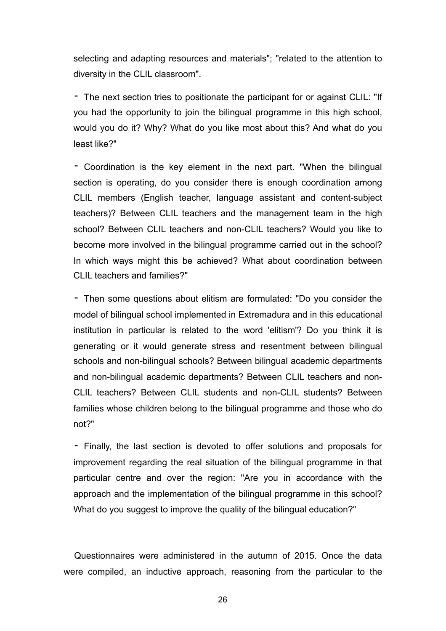selecting and adapting resources and materials"; "related to the attention to diversity in the CLIL classroom".

- The next section tries to positionate the participant for or against CLIL: "If you had the opportunity to join the bilingual programme in this high school, would you do it? Why? What do you like most about this? And what do you least like?"

- Coordination is the key element in the next part. "When the bilingual section is operating, do you consider there is enough coordination among CLIL members (English teacher, language assistant and content-subject teachers)? Between CLIL teachers and the management team in the high school? Between CLIL teachers and non-CLIL teachers? Would you like to become more involved in the bilingual programme carried out in the school? In which ways might this be achieved? What about coordination between CLIL teachers and families?"

- Then some questions about elitism are formulated: "Do you consider the model of bilingual school implemented in Extremadura and in this educational institution in particular is related to the word 'elitism'? Do you think it is generating or it would generate stress and resentment between bilingual schools and non-bilingual schools? Between bilingual academic departments and non-bilingual academic departments? Between CLIL teachers and non-CLIL teachers? Between CLIL students and non-CLIL students? Between families whose children belong to the bilingual programme and those who do not?"

- Finally, the last section is devoted to offer solutions and proposals for improvement regarding the real situation of the bilingual programme in that particular centre and over the region: "Are you in accordance with the approach and the implementation of the bilingual programme in this school? What do you suggest to improve the quality of the bilingual education?"

Questionnaires were administered in the autumn of 2015. Once the data were compiled, an inductive approach, reasoning from the particular to the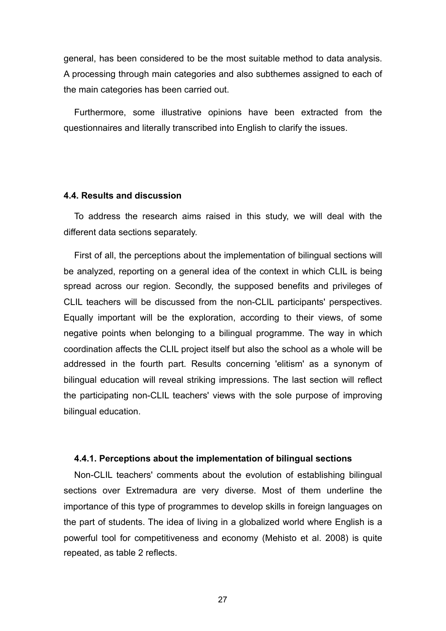general, has been considered to be the most suitable method to data analysis. A processing through main categories and also subthemes assigned to each of the main categories has been carried out.

Furthermore, some illustrative opinions have been extracted from the questionnaires and literally transcribed into English to clarify the issues.

#### **4.4. Results and discussion**

To address the research aims raised in this study, we will deal with the different data sections separately.

First of all, the perceptions about the implementation of bilingual sections will be analyzed, reporting on a general idea of the context in which CLIL is being spread across our region. Secondly, the supposed benefits and privileges of CLIL teachers will be discussed from the non-CLIL participants' perspectives. Equally important will be the exploration, according to their views, of some negative points when belonging to a bilingual programme. The way in which coordination affects the CLIL project itself but also the school as a whole will be addressed in the fourth part. Results concerning 'elitism' as a synonym of bilingual education will reveal striking impressions. The last section will reflect the participating non-CLIL teachers' views with the sole purpose of improving bilingual education.

#### **4.4.1. Perceptions about the implementation of bilingual sections**

Non-CLIL teachers' comments about the evolution of establishing bilingual sections over Extremadura are very diverse. Most of them underline the importance of this type of programmes to develop skills in foreign languages on the part of students. The idea of living in a globalized world where English is a powerful tool for competitiveness and economy (Mehisto et al. 2008) is quite repeated, as table 2 reflects.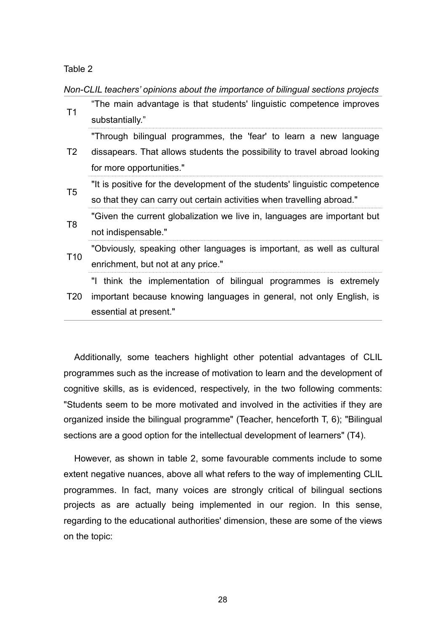Table 2

*Non-CLIL teachers' opinions about the importance of bilingual sections projects*

| T1              | "The main advantage is that students' linguistic competence improves<br>substantially." |  |  |  |  |  |
|-----------------|-----------------------------------------------------------------------------------------|--|--|--|--|--|
|                 | "Through bilingual programmes, the 'fear' to learn a new language                       |  |  |  |  |  |
| T2              | dissapears. That allows students the possibility to travel abroad looking               |  |  |  |  |  |
|                 | for more opportunities."                                                                |  |  |  |  |  |
| T5              | "It is positive for the development of the students' linguistic competence              |  |  |  |  |  |
|                 | so that they can carry out certain activities when travelling abroad."                  |  |  |  |  |  |
| T <sub>8</sub>  | "Given the current globalization we live in, languages are important but                |  |  |  |  |  |
|                 | not indispensable."                                                                     |  |  |  |  |  |
| T <sub>10</sub> | "Obviously, speaking other languages is important, as well as cultural                  |  |  |  |  |  |
|                 | enrichment, but not at any price."                                                      |  |  |  |  |  |
|                 | "I think the implementation of bilingual programmes is extremely                        |  |  |  |  |  |
| T <sub>20</sub> | important because knowing languages in general, not only English, is                    |  |  |  |  |  |
|                 | essential at present."                                                                  |  |  |  |  |  |

Additionally, some teachers highlight other potential advantages of CLIL programmes such as the increase of motivation to learn and the development of cognitive skills, as is evidenced, respectively, in the two following comments: "Students seem to be more motivated and involved in the activities if they are organized inside the bilingual programme" (Teacher, henceforth T, 6); "Bilingual sections are a good option for the intellectual development of learners" (T4).

However, as shown in table 2, some favourable comments include to some extent negative nuances, above all what refers to the way of implementing CLIL programmes. In fact, many voices are strongly critical of bilingual sections projects as are actually being implemented in our region. In this sense, regarding to the educational authorities' dimension, these are some of the views on the topic: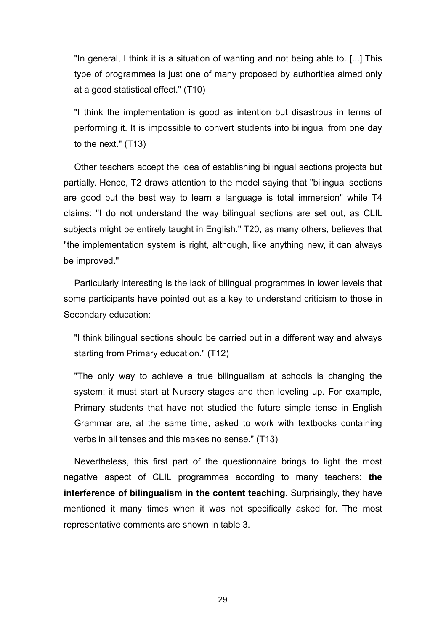"In general, I think it is a situation of wanting and not being able to. [...] This type of programmes is just one of many proposed by authorities aimed only at a good statistical effect." (T10)

"I think the implementation is good as intention but disastrous in terms of performing it. It is impossible to convert students into bilingual from one day to the next." (T13)

Other teachers accept the idea of establishing bilingual sections projects but partially. Hence, T2 draws attention to the model saying that "bilingual sections are good but the best way to learn a language is total immersion" while T4 claims: "I do not understand the way bilingual sections are set out, as CLIL subjects might be entirely taught in English." T20, as many others, believes that "the implementation system is right, although, like anything new, it can always be improved."

Particularly interesting is the lack of bilingual programmes in lower levels that some participants have pointed out as a key to understand criticism to those in Secondary education:

"I think bilingual sections should be carried out in a different way and always starting from Primary education." (T12)

"The only way to achieve a true bilingualism at schools is changing the system: it must start at Nursery stages and then leveling up. For example, Primary students that have not studied the future simple tense in English Grammar are, at the same time, asked to work with textbooks containing verbs in all tenses and this makes no sense." (T13)

Nevertheless, this first part of the questionnaire brings to light the most negative aspect of CLIL programmes according to many teachers: **the interference of bilingualism in the content teaching**. Surprisingly, they have mentioned it many times when it was not specifically asked for. The most representative comments are shown in table 3.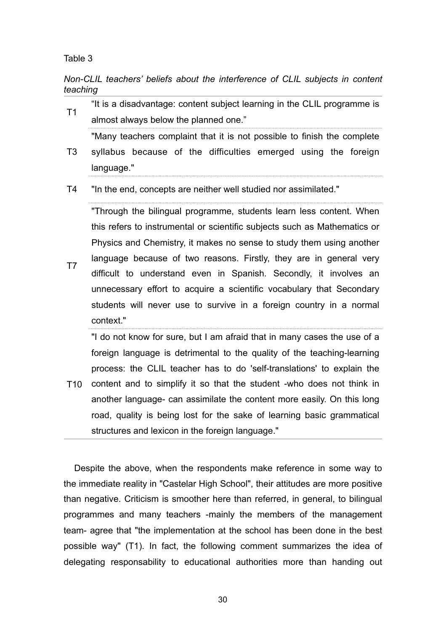Table 3

*Non-CLIL teachers' beliefs about the interference of CLIL subjects in content teaching*

T1 "It is a disadvantage: content subject learning in the CLIL programme is almost always below the planned one."

T3 "Many teachers complaint that it is not possible to finish the complete syllabus because of the difficulties emerged using the foreign language."

T4 "In the end, concepts are neither well studied nor assimilated."

T7 "Through the bilingual programme, students learn less content. When this refers to instrumental or scientific subjects such as Mathematics or Physics and Chemistry, it makes no sense to study them using another language because of two reasons. Firstly, they are in general very difficult to understand even in Spanish. Secondly, it involves an unnecessary effort to acquire a scientific vocabulary that Secondary students will never use to survive in a foreign country in a normal context."

"I do not know for sure, but I am afraid that in many cases the use of a foreign language is detrimental to the quality of the teaching-learning process: the CLIL teacher has to do 'self-translations' to explain the

T10 content and to simplify it so that the student -who does not think in another language- can assimilate the content more easily. On this long road, quality is being lost for the sake of learning basic grammatical structures and lexicon in the foreign language."

Despite the above, when the respondents make reference in some way to the immediate reality in "Castelar High School", their attitudes are more positive than negative. Criticism is smoother here than referred, in general, to bilingual programmes and many teachers -mainly the members of the management team- agree that "the implementation at the school has been done in the best possible way" (T1). In fact, the following comment summarizes the idea of delegating responsability to educational authorities more than handing out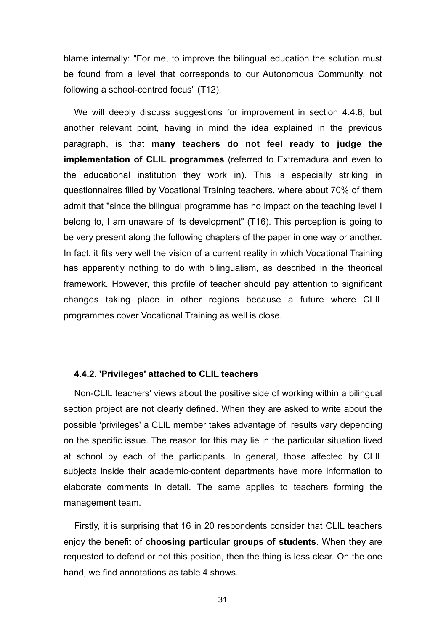blame internally: "For me, to improve the bilingual education the solution must be found from a level that corresponds to our Autonomous Community, not following a school-centred focus" (T12).

We will deeply discuss suggestions for improvement in section 4.4.6, but another relevant point, having in mind the idea explained in the previous paragraph, is that **many teachers do not feel ready to judge the implementation of CLIL programmes** (referred to Extremadura and even to the educational institution they work in). This is especially striking in questionnaires filled by Vocational Training teachers, where about 70% of them admit that "since the bilingual programme has no impact on the teaching level I belong to, I am unaware of its development" (T16). This perception is going to be very present along the following chapters of the paper in one way or another. In fact, it fits very well the vision of a current reality in which Vocational Training has apparently nothing to do with bilingualism, as described in the theorical framework. However, this profile of teacher should pay attention to significant changes taking place in other regions because a future where CLIL programmes cover Vocational Training as well is close.

#### **4.4.2. 'Privileges' attached to CLIL teachers**

Non-CLIL teachers' views about the positive side of working within a bilingual section project are not clearly defined. When they are asked to write about the possible 'privileges' a CLIL member takes advantage of, results vary depending on the specific issue. The reason for this may lie in the particular situation lived at school by each of the participants. In general, those affected by CLIL subjects inside their academic-content departments have more information to elaborate comments in detail. The same applies to teachers forming the management team.

Firstly, it is surprising that 16 in 20 respondents consider that CLIL teachers enjoy the benefit of **choosing particular groups of students**. When they are requested to defend or not this position, then the thing is less clear. On the one hand, we find annotations as table 4 shows.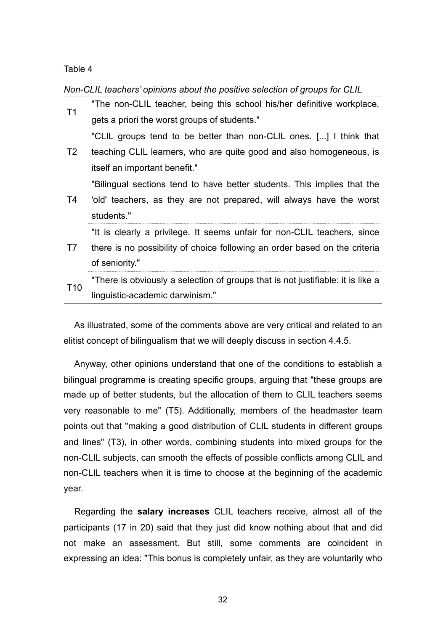#### Table 4

*Non-CLIL teachers' opinions about the positive selection of groups for CLIL*

| T1              | "The non-CLIL teacher, being this school his/her definitive workplace,<br>gets a priori the worst groups of students."                                                     |  |  |  |  |  |
|-----------------|----------------------------------------------------------------------------------------------------------------------------------------------------------------------------|--|--|--|--|--|
| T2              | "CLIL groups tend to be better than non-CLIL ones. [] I think that<br>teaching CLIL learners, who are quite good and also homogeneous, is<br>itself an important benefit." |  |  |  |  |  |
| T4              | "Bilingual sections tend to have better students. This implies that the<br>'old' teachers, as they are not prepared, will always have the worst<br>students."              |  |  |  |  |  |
| T7              | "It is clearly a privilege. It seems unfair for non-CLIL teachers, since<br>there is no possibility of choice following an order based on the criteria<br>of seniority."   |  |  |  |  |  |
| T <sub>10</sub> | "There is obviously a selection of groups that is not justifiable: it is like a<br>linguistic-academic darwinism."                                                         |  |  |  |  |  |

As illustrated, some of the comments above are very critical and related to an elitist concept of bilingualism that we will deeply discuss in section 4.4.5.

Anyway, other opinions understand that one of the conditions to establish a bilingual programme is creating specific groups, arguing that "these groups are made up of better students, but the allocation of them to CLIL teachers seems very reasonable to me" (T5). Additionally, members of the headmaster team points out that "making a good distribution of CLIL students in different groups and lines" (T3), in other words, combining students into mixed groups for the non-CLIL subjects, can smooth the effects of possible conflicts among CLIL and non-CLIL teachers when it is time to choose at the beginning of the academic year.

Regarding the **salary increases** CLIL teachers receive, almost all of the participants (17 in 20) said that they just did know nothing about that and did not make an assessment. But still, some comments are coincident in expressing an idea: "This bonus is completely unfair, as they are voluntarily who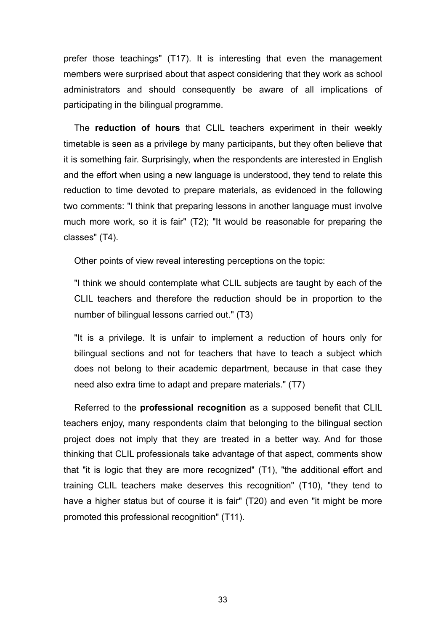prefer those teachings" (T17). It is interesting that even the management members were surprised about that aspect considering that they work as school administrators and should consequently be aware of all implications of participating in the bilingual programme.

The **reduction of hours** that CLIL teachers experiment in their weekly timetable is seen as a privilege by many participants, but they often believe that it is something fair. Surprisingly, when the respondents are interested in English and the effort when using a new language is understood, they tend to relate this reduction to time devoted to prepare materials, as evidenced in the following two comments: "I think that preparing lessons in another language must involve much more work, so it is fair" (T2); "It would be reasonable for preparing the classes" (T4).

Other points of view reveal interesting perceptions on the topic:

"I think we should contemplate what CLIL subjects are taught by each of the CLIL teachers and therefore the reduction should be in proportion to the number of bilingual lessons carried out." (T3)

"It is a privilege. It is unfair to implement a reduction of hours only for bilingual sections and not for teachers that have to teach a subject which does not belong to their academic department, because in that case they need also extra time to adapt and prepare materials." (T7)

Referred to the **professional recognition** as a supposed benefit that CLIL teachers enjoy, many respondents claim that belonging to the bilingual section project does not imply that they are treated in a better way. And for those thinking that CLIL professionals take advantage of that aspect, comments show that "it is logic that they are more recognized" (T1), "the additional effort and training CLIL teachers make deserves this recognition" (T10), "they tend to have a higher status but of course it is fair" (T20) and even "it might be more promoted this professional recognition" (T11).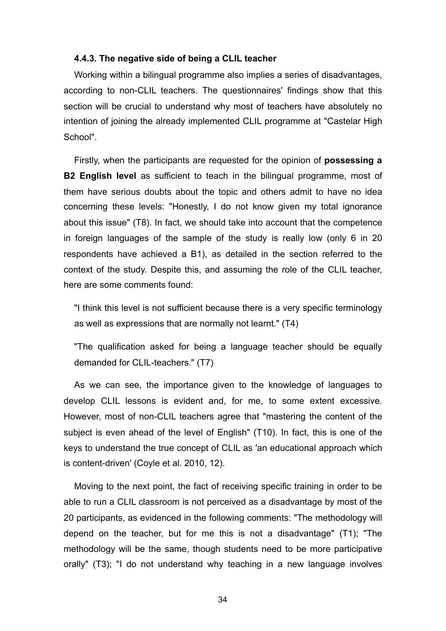#### **4.4.3. The negative side of being a CLIL teacher**

Working within a bilingual programme also implies a series of disadvantages, according to non-CLIL teachers. The questionnaires' findings show that this section will be crucial to understand why most of teachers have absolutely no intention of joining the already implemented CLIL programme at "Castelar High School".

Firstly, when the participants are requested for the opinion of **possessing a B2 English level** as sufficient to teach in the bilingual programme, most of them have serious doubts about the topic and others admit to have no idea concerning these levels: "Honestly, I do not know given my total ignorance about this issue" (T8). In fact, we should take into account that the competence in foreign languages of the sample of the study is really low (only 6 in 20 respondents have achieved a B1), as detailed in the section referred to the context of the study. Despite this, and assuming the role of the CLIL teacher, here are some comments found:

"I think this level is not sufficient because there is a very specific terminology as well as expressions that are normally not learnt." (T4)

"The qualification asked for being a language teacher should be equally demanded for CLIL-teachers." (T7)

As we can see, the importance given to the knowledge of languages to develop CLIL lessons is evident and, for me, to some extent excessive. However, most of non-CLIL teachers agree that "mastering the content of the subject is even ahead of the level of English" (T10). In fact, this is one of the keys to understand the true concept of CLIL as 'an educational approach which is content-driven' (Coyle et al. 2010, 12).

Moving to the next point, the fact of receiving specific training in order to be able to run a CLIL classroom is not perceived as a disadvantage by most of the 20 participants, as evidenced in the following comments: "The methodology will depend on the teacher, but for me this is not a disadvantage" (T1); "The methodology will be the same, though students need to be more participative orally" (T3); "I do not understand why teaching in a new language involves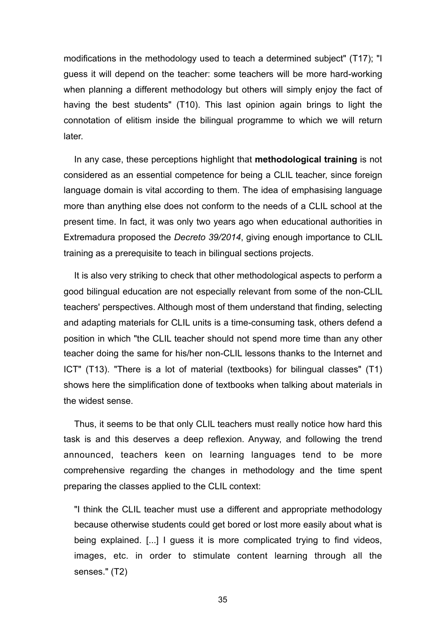modifications in the methodology used to teach a determined subject" (T17); "I guess it will depend on the teacher: some teachers will be more hard-working when planning a different methodology but others will simply enjoy the fact of having the best students" (T10). This last opinion again brings to light the connotation of elitism inside the bilingual programme to which we will return later.

In any case, these perceptions highlight that **methodological training** is not considered as an essential competence for being a CLIL teacher, since foreign language domain is vital according to them. The idea of emphasising language more than anything else does not conform to the needs of a CLIL school at the present time. In fact, it was only two years ago when educational authorities in Extremadura proposed the *Decreto 39/2014*, giving enough importance to CLIL training as a prerequisite to teach in bilingual sections projects.

It is also very striking to check that other methodological aspects to perform a good bilingual education are not especially relevant from some of the non-CLIL teachers' perspectives. Although most of them understand that finding, selecting and adapting materials for CLIL units is a time-consuming task, others defend a position in which "the CLIL teacher should not spend more time than any other teacher doing the same for his/her non-CLIL lessons thanks to the Internet and ICT" (T13). "There is a lot of material (textbooks) for bilingual classes" (T1) shows here the simplification done of textbooks when talking about materials in the widest sense.

Thus, it seems to be that only CLIL teachers must really notice how hard this task is and this deserves a deep reflexion. Anyway, and following the trend announced, teachers keen on learning languages tend to be more comprehensive regarding the changes in methodology and the time spent preparing the classes applied to the CLIL context:

"I think the CLIL teacher must use a different and appropriate methodology because otherwise students could get bored or lost more easily about what is being explained. [...] I guess it is more complicated trying to find videos, images, etc. in order to stimulate content learning through all the senses." (T2)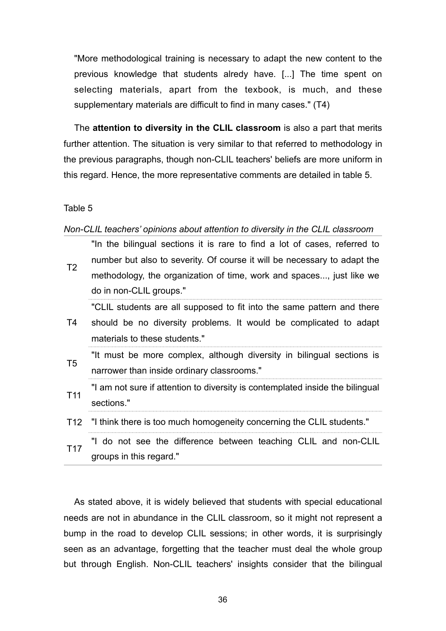"More methodological training is necessary to adapt the new content to the previous knowledge that students alredy have. [...] The time spent on selecting materials, apart from the texbook, is much, and these supplementary materials are difficult to find in many cases." (T4)

The **attention to diversity in the CLIL classroom** is also a part that merits further attention. The situation is very similar to that referred to methodology in the previous paragraphs, though non-CLIL teachers' beliefs are more uniform in this regard. Hence, the more representative comments are detailed in table 5.

#### Table 5

#### *Non-CLIL teachers' opinions about attention to diversity in the CLIL classroom*

T2 "In the bilingual sections it is rare to find a lot of cases, referred to number but also to severity. Of course it will be necessary to adapt the methodology, the organization of time, work and spaces..., just like we do in non-CLIL groups."

"CLIL students are all supposed to fit into the same pattern and there

- T4 should be no diversity problems. It would be complicated to adapt materials to these students."
- T5 "It must be more complex, although diversity in bilingual sections is narrower than inside ordinary classrooms."
- T11 "I am not sure if attention to diversity is contemplated inside the bilingual sections."
- T12 "I think there is too much homogeneity concerning the CLIL students."
- T17 "I do not see the difference between teaching CLIL and non-CLIL groups in this regard."

As stated above, it is widely believed that students with special educational needs are not in abundance in the CLIL classroom, so it might not represent a bump in the road to develop CLIL sessions; in other words, it is surprisingly seen as an advantage, forgetting that the teacher must deal the whole group but through English. Non-CLIL teachers' insights consider that the bilingual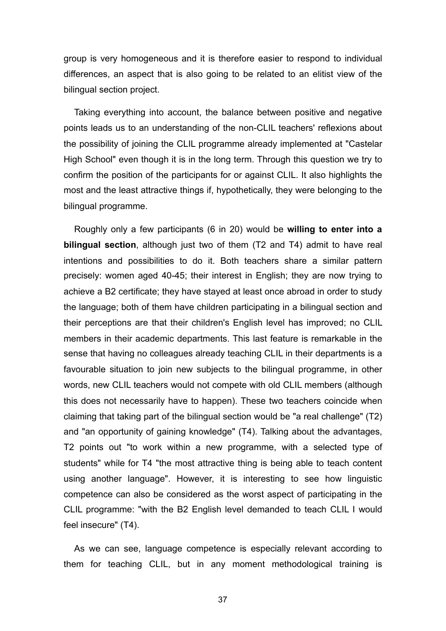group is very homogeneous and it is therefore easier to respond to individual differences, an aspect that is also going to be related to an elitist view of the bilingual section project.

Taking everything into account, the balance between positive and negative points leads us to an understanding of the non-CLIL teachers' reflexions about the possibility of joining the CLIL programme already implemented at "Castelar High School" even though it is in the long term. Through this question we try to confirm the position of the participants for or against CLIL. It also highlights the most and the least attractive things if, hypothetically, they were belonging to the bilingual programme.

Roughly only a few participants (6 in 20) would be **willing to enter into a bilingual section**, although just two of them (T2 and T4) admit to have real intentions and possibilities to do it. Both teachers share a similar pattern precisely: women aged 40-45; their interest in English; they are now trying to achieve a B2 certificate; they have stayed at least once abroad in order to study the language; both of them have children participating in a bilingual section and their perceptions are that their children's English level has improved; no CLIL members in their academic departments. This last feature is remarkable in the sense that having no colleagues already teaching CLIL in their departments is a favourable situation to join new subjects to the bilingual programme, in other words, new CLIL teachers would not compete with old CLIL members (although this does not necessarily have to happen). These two teachers coincide when claiming that taking part of the bilingual section would be "a real challenge" (T2) and "an opportunity of gaining knowledge" (T4). Talking about the advantages, T2 points out "to work within a new programme, with a selected type of students" while for T4 "the most attractive thing is being able to teach content using another language". However, it is interesting to see how linguistic competence can also be considered as the worst aspect of participating in the CLIL programme: "with the B2 English level demanded to teach CLIL I would feel insecure" (T4).

As we can see, language competence is especially relevant according to them for teaching CLIL, but in any moment methodological training is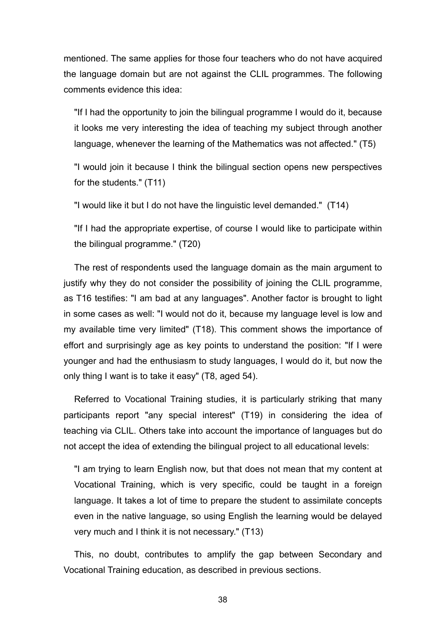mentioned. The same applies for those four teachers who do not have acquired the language domain but are not against the CLIL programmes. The following comments evidence this idea:

"If I had the opportunity to join the bilingual programme I would do it, because it looks me very interesting the idea of teaching my subject through another language, whenever the learning of the Mathematics was not affected." (T5)

"I would join it because I think the bilingual section opens new perspectives for the students." (T11)

"I would like it but I do not have the linguistic level demanded." (T14)

"If I had the appropriate expertise, of course I would like to participate within the bilingual programme." (T20)

The rest of respondents used the language domain as the main argument to justify why they do not consider the possibility of joining the CLIL programme. as T16 testifies: "I am bad at any languages". Another factor is brought to light in some cases as well: "I would not do it, because my language level is low and my available time very limited" (T18). This comment shows the importance of effort and surprisingly age as key points to understand the position: "If I were younger and had the enthusiasm to study languages, I would do it, but now the only thing I want is to take it easy" (T8, aged 54).

Referred to Vocational Training studies, it is particularly striking that many participants report "any special interest" (T19) in considering the idea of teaching via CLIL. Others take into account the importance of languages but do not accept the idea of extending the bilingual project to all educational levels:

"I am trying to learn English now, but that does not mean that my content at Vocational Training, which is very specific, could be taught in a foreign language. It takes a lot of time to prepare the student to assimilate concepts even in the native language, so using English the learning would be delayed very much and I think it is not necessary." (T13)

This, no doubt, contributes to amplify the gap between Secondary and Vocational Training education, as described in previous sections.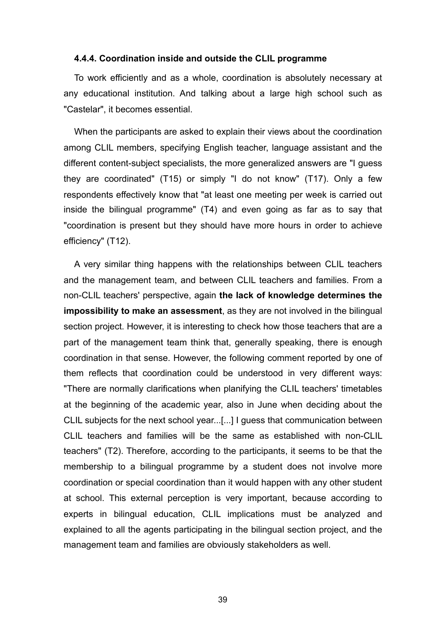#### **4.4.4. Coordination inside and outside the CLIL programme**

To work efficiently and as a whole, coordination is absolutely necessary at any educational institution. And talking about a large high school such as "Castelar", it becomes essential.

When the participants are asked to explain their views about the coordination among CLIL members, specifying English teacher, language assistant and the different content-subject specialists, the more generalized answers are "I guess they are coordinated" (T15) or simply "I do not know" (T17). Only a few respondents effectively know that "at least one meeting per week is carried out inside the bilingual programme" (T4) and even going as far as to say that "coordination is present but they should have more hours in order to achieve efficiency" (T12).

A very similar thing happens with the relationships between CLIL teachers and the management team, and between CLIL teachers and families. From a non-CLIL teachers' perspective, again **the lack of knowledge determines the impossibility to make an assessment**, as they are not involved in the bilingual section project. However, it is interesting to check how those teachers that are a part of the management team think that, generally speaking, there is enough coordination in that sense. However, the following comment reported by one of them reflects that coordination could be understood in very different ways: "There are normally clarifications when planifying the CLIL teachers' timetables at the beginning of the academic year, also in June when deciding about the CLIL subjects for the next school year...[...] I guess that communication between CLIL teachers and families will be the same as established with non-CLIL teachers" (T2). Therefore, according to the participants, it seems to be that the membership to a bilingual programme by a student does not involve more coordination or special coordination than it would happen with any other student at school. This external perception is very important, because according to experts in bilingual education, CLIL implications must be analyzed and explained to all the agents participating in the bilingual section project, and the management team and families are obviously stakeholders as well.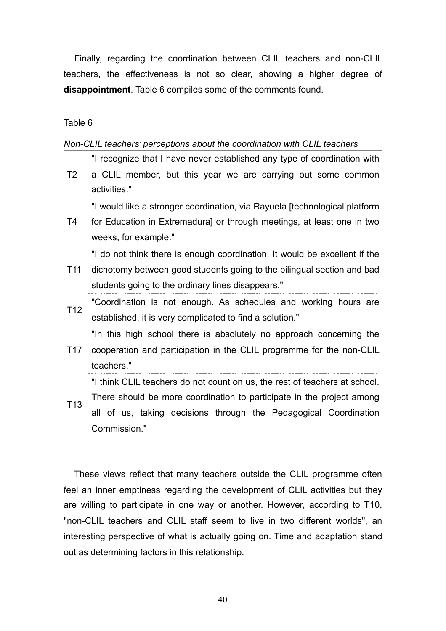Finally, regarding the coordination between CLIL teachers and non-CLIL teachers, the effectiveness is not so clear, showing a higher degree of **disappointment**. Table 6 compiles some of the comments found.

Table 6

*Non-CLIL teachers' perceptions about the coordination with CLIL teachers*

"I recognize that I have never established any type of coordination with

T2 a CLIL member, but this year we are carrying out some common activities."

"I would like a stronger coordination, via Rayuela [technological platform

T4 for Education in Extremadura] or through meetings, at least one in two weeks, for example."

"I do not think there is enough coordination. It would be excellent if the

- T11 dichotomy between good students going to the bilingual section and bad students going to the ordinary lines disappears."
- T12 "Coordination is not enough. As schedules and working hours are established, it is very complicated to find a solution."

"In this high school there is absolutely no approach concerning the

T17 cooperation and participation in the CLIL programme for the non-CLIL teachers."

"I think CLIL teachers do not count on us, the rest of teachers at school.

T13 There should be more coordination to participate in the project among all of us, taking decisions through the Pedagogical Coordination Commission."

These views reflect that many teachers outside the CLIL programme often feel an inner emptiness regarding the development of CLIL activities but they are willing to participate in one way or another. However, according to T10, "non-CLIL teachers and CLIL staff seem to live in two different worlds", an interesting perspective of what is actually going on. Time and adaptation stand out as determining factors in this relationship.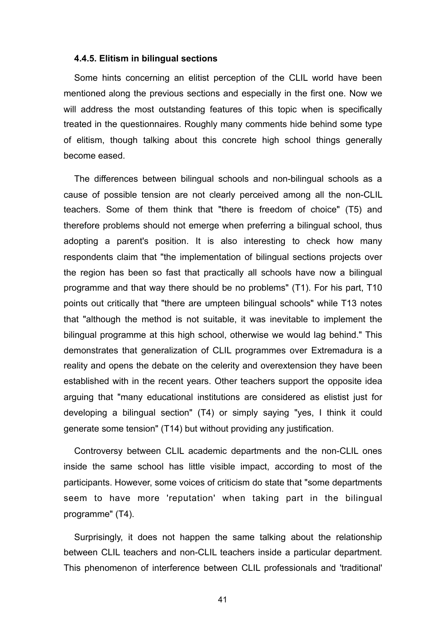#### **4.4.5. Elitism in bilingual sections**

Some hints concerning an elitist perception of the CLIL world have been mentioned along the previous sections and especially in the first one. Now we will address the most outstanding features of this topic when is specifically treated in the questionnaires. Roughly many comments hide behind some type of elitism, though talking about this concrete high school things generally become eased.

The differences between bilingual schools and non-bilingual schools as a cause of possible tension are not clearly perceived among all the non-CLIL teachers. Some of them think that "there is freedom of choice" (T5) and therefore problems should not emerge when preferring a bilingual school, thus adopting a parent's position. It is also interesting to check how many respondents claim that "the implementation of bilingual sections projects over the region has been so fast that practically all schools have now a bilingual programme and that way there should be no problems" (T1). For his part, T10 points out critically that "there are umpteen bilingual schools" while T13 notes that "although the method is not suitable, it was inevitable to implement the bilingual programme at this high school, otherwise we would lag behind." This demonstrates that generalization of CLIL programmes over Extremadura is a reality and opens the debate on the celerity and overextension they have been established with in the recent years. Other teachers support the opposite idea arguing that "many educational institutions are considered as elistist just for developing a bilingual section" (T4) or simply saying "yes, I think it could generate some tension" (T14) but without providing any justification.

Controversy between CLIL academic departments and the non-CLIL ones inside the same school has little visible impact, according to most of the participants. However, some voices of criticism do state that "some departments seem to have more 'reputation' when taking part in the bilingual programme" (T4).

Surprisingly, it does not happen the same talking about the relationship between CLIL teachers and non-CLIL teachers inside a particular department. This phenomenon of interference between CLIL professionals and 'traditional'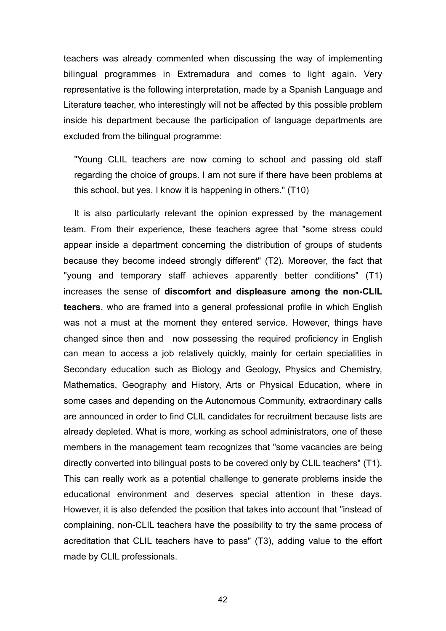teachers was already commented when discussing the way of implementing bilingual programmes in Extremadura and comes to light again. Very representative is the following interpretation, made by a Spanish Language and Literature teacher, who interestingly will not be affected by this possible problem inside his department because the participation of language departments are excluded from the bilingual programme:

"Young CLIL teachers are now coming to school and passing old staff regarding the choice of groups. I am not sure if there have been problems at this school, but yes, I know it is happening in others." (T10)

It is also particularly relevant the opinion expressed by the management team. From their experience, these teachers agree that "some stress could appear inside a department concerning the distribution of groups of students because they become indeed strongly different" (T2). Moreover, the fact that "young and temporary staff achieves apparently better conditions" (T1) increases the sense of **discomfort and displeasure among the non-CLIL teachers**, who are framed into a general professional profile in which English was not a must at the moment they entered service. However, things have changed since then and now possessing the required proficiency in English can mean to access a job relatively quickly, mainly for certain specialities in Secondary education such as Biology and Geology, Physics and Chemistry, Mathematics, Geography and History, Arts or Physical Education, where in some cases and depending on the Autonomous Community, extraordinary calls are announced in order to find CLIL candidates for recruitment because lists are already depleted. What is more, working as school administrators, one of these members in the management team recognizes that "some vacancies are being directly converted into bilingual posts to be covered only by CLIL teachers" (T1). This can really work as a potential challenge to generate problems inside the educational environment and deserves special attention in these days. However, it is also defended the position that takes into account that "instead of complaining, non-CLIL teachers have the possibility to try the same process of acreditation that CLIL teachers have to pass" (T3), adding value to the effort made by CLIL professionals.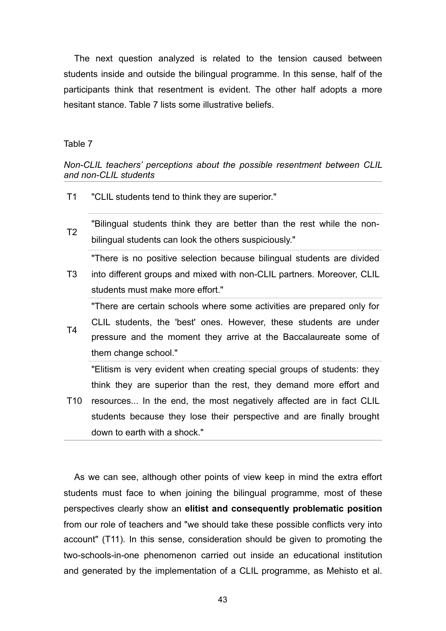The next question analyzed is related to the tension caused between students inside and outside the bilingual programme. In this sense, half of the participants think that resentment is evident. The other half adopts a more hesitant stance. Table 7 lists some illustrative beliefs.

#### Table 7

#### *Non-CLIL teachers' perceptions about the possible resentment between CLIL and non-CLIL students*

- T1 "CLIL students tend to think they are superior."
- T2 "Bilingual students think they are better than the rest while the nonbilingual students can look the others suspiciously."

"There is no positive selection because bilingual students are divided

T3 into different groups and mixed with non-CLIL partners. Moreover, CLIL students must make more effort."

T4 "There are certain schools where some activities are prepared only for CLIL students, the 'best' ones. However, these students are under pressure and the moment they arrive at the Baccalaureate some of them change school."

T10 resources... In the end, the most negatively affected are in fact CLIL "Elitism is very evident when creating special groups of students: they think they are superior than the rest, they demand more effort and students because they lose their perspective and are finally brought down to earth with a shock."

As we can see, although other points of view keep in mind the extra effort students must face to when joining the bilingual programme, most of these perspectives clearly show an **elitist and consequently problematic position** from our role of teachers and "we should take these possible conflicts very into account" (T11). In this sense, consideration should be given to promoting the two-schools-in-one phenomenon carried out inside an educational institution and generated by the implementation of a CLIL programme, as Mehisto et al.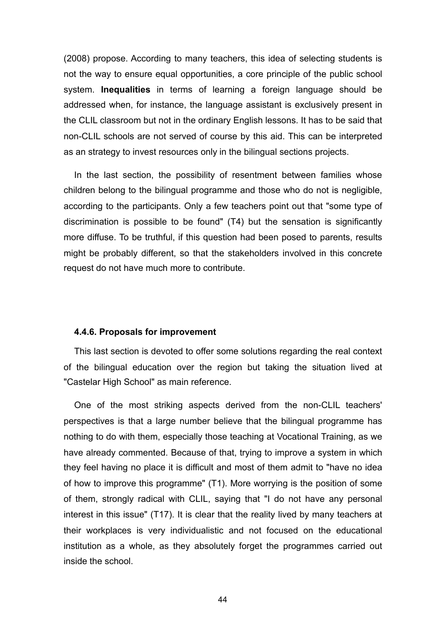(2008) propose. According to many teachers, this idea of selecting students is not the way to ensure equal opportunities, a core principle of the public school system. **Inequalities** in terms of learning a foreign language should be addressed when, for instance, the language assistant is exclusively present in the CLIL classroom but not in the ordinary English lessons. It has to be said that non-CLIL schools are not served of course by this aid. This can be interpreted as an strategy to invest resources only in the bilingual sections projects.

In the last section, the possibility of resentment between families whose children belong to the bilingual programme and those who do not is negligible, according to the participants. Only a few teachers point out that "some type of discrimination is possible to be found" (T4) but the sensation is significantly more diffuse. To be truthful, if this question had been posed to parents, results might be probably different, so that the stakeholders involved in this concrete request do not have much more to contribute.

#### **4.4.6. Proposals for improvement**

This last section is devoted to offer some solutions regarding the real context of the bilingual education over the region but taking the situation lived at "Castelar High School" as main reference.

One of the most striking aspects derived from the non-CLIL teachers' perspectives is that a large number believe that the bilingual programme has nothing to do with them, especially those teaching at Vocational Training, as we have already commented. Because of that, trying to improve a system in which they feel having no place it is difficult and most of them admit to "have no idea of how to improve this programme" (T1). More worrying is the position of some of them, strongly radical with CLIL, saying that "I do not have any personal interest in this issue" (T17). It is clear that the reality lived by many teachers at their workplaces is very individualistic and not focused on the educational institution as a whole, as they absolutely forget the programmes carried out inside the school.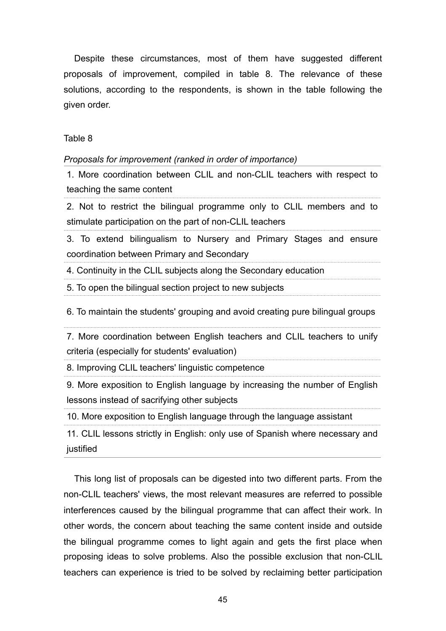Despite these circumstances, most of them have suggested different proposals of improvement, compiled in table 8. The relevance of these solutions, according to the respondents, is shown in the table following the given order.

Table 8

*Proposals for improvement (ranked in order of importance)*

1. More coordination between CLIL and non-CLIL teachers with respect to teaching the same content

2. Not to restrict the bilingual programme only to CLIL members and to stimulate participation on the part of non-CLIL teachers

3. To extend bilingualism to Nursery and Primary Stages and ensure coordination between Primary and Secondary

4. Continuity in the CLIL subjects along the Secondary education

5. To open the bilingual section project to new subjects

6. To maintain the students' grouping and avoid creating pure bilingual groups

7. More coordination between English teachers and CLIL teachers to unify criteria (especially for students' evaluation)

8. Improving CLIL teachers' linguistic competence

9. More exposition to English language by increasing the number of English lessons instead of sacrifying other subjects

10. More exposition to English language through the language assistant

11. CLIL lessons strictly in English: only use of Spanish where necessary and justified

This long list of proposals can be digested into two different parts. From the non-CLIL teachers' views, the most relevant measures are referred to possible interferences caused by the bilingual programme that can affect their work. In other words, the concern about teaching the same content inside and outside the bilingual programme comes to light again and gets the first place when proposing ideas to solve problems. Also the possible exclusion that non-CLIL teachers can experience is tried to be solved by reclaiming better participation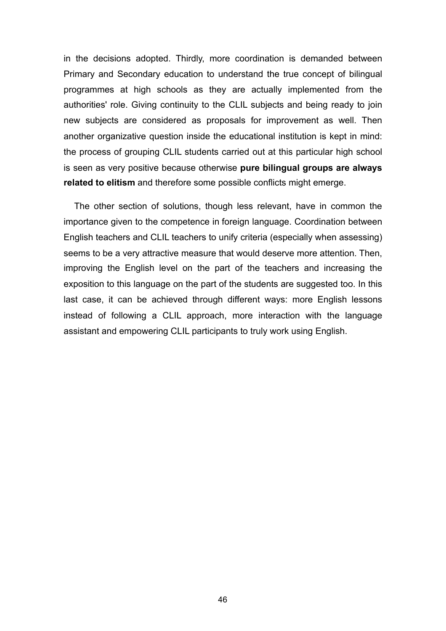in the decisions adopted. Thirdly, more coordination is demanded between Primary and Secondary education to understand the true concept of bilingual programmes at high schools as they are actually implemented from the authorities' role. Giving continuity to the CLIL subjects and being ready to join new subjects are considered as proposals for improvement as well. Then another organizative question inside the educational institution is kept in mind: the process of grouping CLIL students carried out at this particular high school is seen as very positive because otherwise **pure bilingual groups are always related to elitism** and therefore some possible conflicts might emerge.

The other section of solutions, though less relevant, have in common the importance given to the competence in foreign language. Coordination between English teachers and CLIL teachers to unify criteria (especially when assessing) seems to be a very attractive measure that would deserve more attention. Then, improving the English level on the part of the teachers and increasing the exposition to this language on the part of the students are suggested too. In this last case, it can be achieved through different ways: more English lessons instead of following a CLIL approach, more interaction with the language assistant and empowering CLIL participants to truly work using English.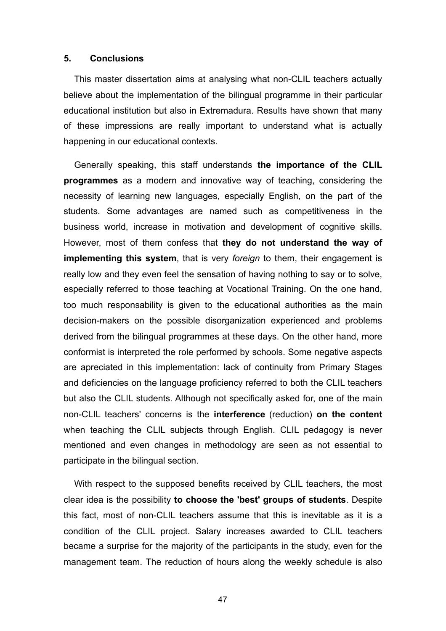#### **5. Conclusions**

This master dissertation aims at analysing what non-CLIL teachers actually believe about the implementation of the bilingual programme in their particular educational institution but also in Extremadura. Results have shown that many of these impressions are really important to understand what is actually happening in our educational contexts.

Generally speaking, this staff understands **the importance of the CLIL programmes** as a modern and innovative way of teaching, considering the necessity of learning new languages, especially English, on the part of the students. Some advantages are named such as competitiveness in the business world, increase in motivation and development of cognitive skills. However, most of them confess that **they do not understand the way of implementing this system**, that is very *foreign* to them, their engagement is really low and they even feel the sensation of having nothing to say or to solve, especially referred to those teaching at Vocational Training. On the one hand, too much responsability is given to the educational authorities as the main decision-makers on the possible disorganization experienced and problems derived from the bilingual programmes at these days. On the other hand, more conformist is interpreted the role performed by schools. Some negative aspects are apreciated in this implementation: lack of continuity from Primary Stages and deficiencies on the language proficiency referred to both the CLIL teachers but also the CLIL students. Although not specifically asked for, one of the main non-CLIL teachers' concerns is the **interference** (reduction) **on the content** when teaching the CLIL subjects through English. CLIL pedagogy is never mentioned and even changes in methodology are seen as not essential to participate in the bilingual section.

With respect to the supposed benefits received by CLIL teachers, the most clear idea is the possibility **to choose the 'best' groups of students**. Despite this fact, most of non-CLIL teachers assume that this is inevitable as it is a condition of the CLIL project. Salary increases awarded to CLIL teachers became a surprise for the majority of the participants in the study, even for the management team. The reduction of hours along the weekly schedule is also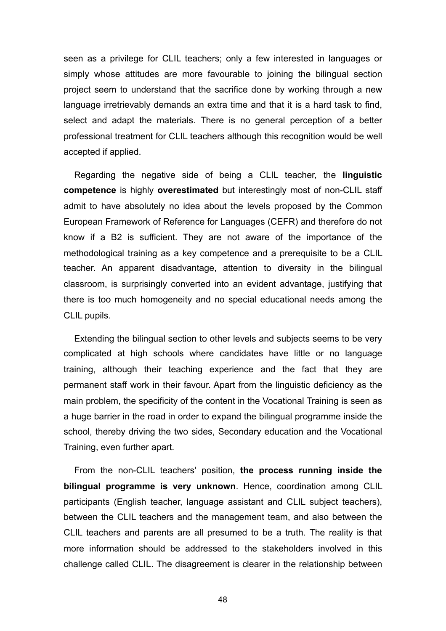seen as a privilege for CLIL teachers; only a few interested in languages or simply whose attitudes are more favourable to joining the bilingual section project seem to understand that the sacrifice done by working through a new language irretrievably demands an extra time and that it is a hard task to find, select and adapt the materials. There is no general perception of a better professional treatment for CLIL teachers although this recognition would be well accepted if applied.

Regarding the negative side of being a CLIL teacher, the **linguistic competence** is highly **overestimated** but interestingly most of non-CLIL staff admit to have absolutely no idea about the levels proposed by the Common European Framework of Reference for Languages (CEFR) and therefore do not know if a B2 is sufficient. They are not aware of the importance of the methodological training as a key competence and a prerequisite to be a CLIL teacher. An apparent disadvantage, attention to diversity in the bilingual classroom, is surprisingly converted into an evident advantage, justifying that there is too much homogeneity and no special educational needs among the CLIL pupils.

Extending the bilingual section to other levels and subjects seems to be very complicated at high schools where candidates have little or no language training, although their teaching experience and the fact that they are permanent staff work in their favour. Apart from the linguistic deficiency as the main problem, the specificity of the content in the Vocational Training is seen as a huge barrier in the road in order to expand the bilingual programme inside the school, thereby driving the two sides, Secondary education and the Vocational Training, even further apart.

From the non-CLIL teachers' position, **the process running inside the bilingual programme is very unknown**. Hence, coordination among CLIL participants (English teacher, language assistant and CLIL subject teachers), between the CLIL teachers and the management team, and also between the CLIL teachers and parents are all presumed to be a truth. The reality is that more information should be addressed to the stakeholders involved in this challenge called CLIL. The disagreement is clearer in the relationship between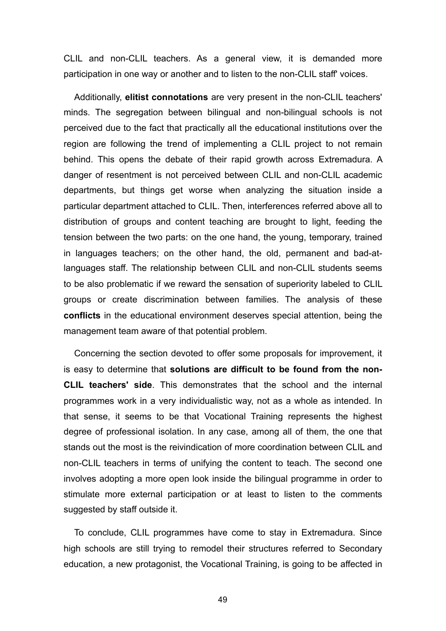CLIL and non-CLIL teachers. As a general view, it is demanded more participation in one way or another and to listen to the non-CLIL staff' voices.

Additionally, **elitist connotations** are very present in the non-CLIL teachers' minds. The segregation between bilingual and non-bilingual schools is not perceived due to the fact that practically all the educational institutions over the region are following the trend of implementing a CLIL project to not remain behind. This opens the debate of their rapid growth across Extremadura. A danger of resentment is not perceived between CLIL and non-CLIL academic departments, but things get worse when analyzing the situation inside a particular department attached to CLIL. Then, interferences referred above all to distribution of groups and content teaching are brought to light, feeding the tension between the two parts: on the one hand, the young, temporary, trained in languages teachers; on the other hand, the old, permanent and bad-atlanguages staff. The relationship between CLIL and non-CLIL students seems to be also problematic if we reward the sensation of superiority labeled to CLIL groups or create discrimination between families. The analysis of these **conflicts** in the educational environment deserves special attention, being the management team aware of that potential problem.

Concerning the section devoted to offer some proposals for improvement, it is easy to determine that **solutions are difficult to be found from the non-CLIL teachers' side**. This demonstrates that the school and the internal programmes work in a very individualistic way, not as a whole as intended. In that sense, it seems to be that Vocational Training represents the highest degree of professional isolation. In any case, among all of them, the one that stands out the most is the reivindication of more coordination between CLIL and non-CLIL teachers in terms of unifying the content to teach. The second one involves adopting a more open look inside the bilingual programme in order to stimulate more external participation or at least to listen to the comments suggested by staff outside it.

To conclude, CLIL programmes have come to stay in Extremadura. Since high schools are still trying to remodel their structures referred to Secondary education, a new protagonist, the Vocational Training, is going to be affected in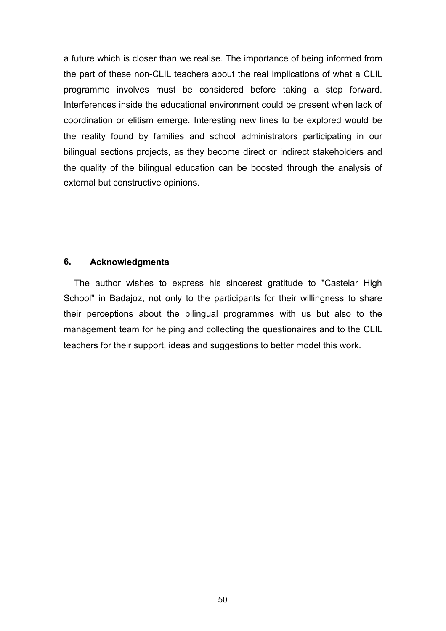a future which is closer than we realise. The importance of being informed from the part of these non-CLIL teachers about the real implications of what a CLIL programme involves must be considered before taking a step forward. Interferences inside the educational environment could be present when lack of coordination or elitism emerge. Interesting new lines to be explored would be the reality found by families and school administrators participating in our bilingual sections projects, as they become direct or indirect stakeholders and the quality of the bilingual education can be boosted through the analysis of external but constructive opinions.

#### **6. Acknowledgments**

The author wishes to express his sincerest gratitude to "Castelar High School" in Badajoz, not only to the participants for their willingness to share their perceptions about the bilingual programmes with us but also to the management team for helping and collecting the questionaires and to the CLIL teachers for their support, ideas and suggestions to better model this work.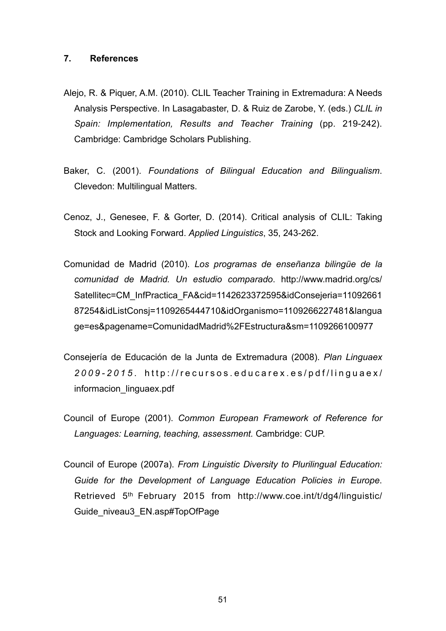#### **7. References**

- Alejo, R. & Piquer, A.M. (2010). CLIL Teacher Training in Extremadura: A Needs Analysis Perspective. In Lasagabaster, D. & Ruiz de Zarobe, Y. (eds.) *CLIL in Spain: Implementation, Results and Teacher Training* (pp. 219-242). Cambridge: Cambridge Scholars Publishing.
- Baker, C. (2001). *Foundations of Bilingual Education and Bilingualism*. Clevedon: Multilingual Matters.
- Cenoz, J., Genesee, F. & Gorter, D. (2014). Critical analysis of CLIL: Taking Stock and Looking Forward. *Applied Linguistics*, 35, 243-262.
- Comunidad de Madrid (2010). *Los programas de enseñanza bilingüe de la comunidad de Madrid. Un estudio comparado*. http://www.madrid.org/cs/ Satellitec=CM\_InfPractica\_FA&cid=1142623372595&idConsejeria=11092661 87254&idListConsj=1109265444710&idOrganismo=1109266227481&langua ge=es&pagename=ComunidadMadrid%2FEstructura&sm=1109266100977
- Consejería de Educación de la Junta de Extremadura (2008). *Plan Linguaex*  2009-2015. http://recursos.educarex.es/pdf/linguaex/ informacion\_linguaex.pdf
- Council of Europe (2001). *Common European Framework of Reference for Languages: Learning, teaching, assessment.* Cambridge: CUP.
- Council of Europe (2007a). *From Linguistic Diversity to Plurilingual Education: Guide for the Development of Language Education Policies in Europe*. Retrieved 5th February 2015 from http://www.coe.int/t/dg4/linguistic/ Guide\_niveau3\_EN.asp#TopOfPage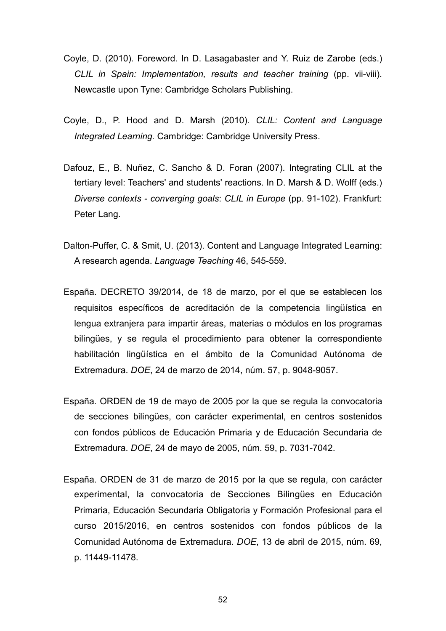- Coyle, D. (2010). Foreword. In D. Lasagabaster and Y. Ruiz de Zarobe (eds.) *CLIL in Spain: Implementation, results and teacher training* (pp. vii-viii). Newcastle upon Tyne: Cambridge Scholars Publishing.
- Coyle, D., P. Hood and D. Marsh (2010). *CLIL: Content and Language Integrated Learning.* Cambridge: Cambridge University Press.
- Dafouz, E., B. Nuñez, C. Sancho & D. Foran (2007). Integrating CLIL at the tertiary level: Teachers' and students' reactions. In D. Marsh & D. Wolff (eds.) *Diverse contexts - converging goals*: *CLIL in Europe* (pp. 91-102). Frankfurt: Peter Lang.
- Dalton-Puffer, C. & Smit, U. (2013). Content and Language Integrated Learning: A research agenda. *Language Teaching* 46, 545-559.
- España. DECRETO 39/2014, de 18 de marzo, por el que se establecen los requisitos específicos de acreditación de la competencia lingüística en lengua extranjera para impartir áreas, materias o módulos en los programas bilingües, y se regula el procedimiento para obtener la correspondiente habilitación lingüística en el ámbito de la Comunidad Autónoma de Extremadura. *DOE*, 24 de marzo de 2014, núm. 57, p. 9048-9057.
- España. ORDEN de 19 de mayo de 2005 por la que se regula la convocatoria de secciones bilingües, con carácter experimental, en centros sostenidos con fondos públicos de Educación Primaria y de Educación Secundaria de Extremadura. *DOE*, 24 de mayo de 2005, núm. 59, p. 7031-7042.
- España. ORDEN de 31 de marzo de 2015 por la que se regula, con carácter experimental, la convocatoria de Secciones Bilingües en Educación Primaria, Educación Secundaria Obligatoria y Formación Profesional para el curso 2015/2016, en centros sostenidos con fondos públicos de la Comunidad Autónoma de Extremadura. *DOE*, 13 de abril de 2015, núm. 69, p. 11449-11478.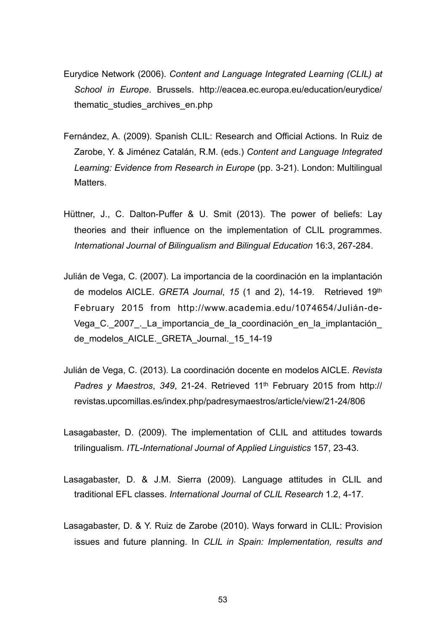- Eurydice Network (2006). *Content and Language Integrated Learning (CLIL) at School in Europe*. Brussels. http://eacea.ec.europa.eu/education/eurydice/ thematic studies archives en.php
- Fernández, A. (2009). Spanish CLIL: Research and Official Actions. In Ruiz de Zarobe, Y. & Jiménez Catalán, R.M. (eds.) *Content and Language Integrated Learning: Evidence from Research in Europe* (pp. 3-21). London: Multilingual Matters.
- Hüttner, J., C. Dalton-Puffer & U. Smit (2013). The power of beliefs: Lay theories and their influence on the implementation of CLIL programmes. *International Journal of Bilingualism and Bilingual Education* 16:3, 267-284.
- Julián de Vega, C. (2007). La importancia de la coordinación en la implantación de modelos AICLE. *GRETA Journal*, *15* (1 and 2), 14-19. Retrieved 19th February 2015 from http://www.academia.edu/1074654/Julián-de-Vega C. 2007. La importancia de la coordinación en la implantación de\_modelos\_AICLE.\_GRETA\_Journal.\_15\_14-19
- Julián de Vega, C. (2013). La coordinación docente en modelos AICLE. *Revista Padres y Maestros*, *349*, 21-24. Retrieved 11th February 2015 from http:// revistas.upcomillas.es/index.php/padresymaestros/article/view/21-24/806
- Lasagabaster, D. (2009). The implementation of CLIL and attitudes towards trilingualism. *ITL-International Journal of Applied Linguistics* 157, 23-43.
- Lasagabaster, D. & J.M. Sierra (2009). Language attitudes in CLIL and traditional EFL classes. *International Journal of CLIL Research* 1.2, 4-17.
- Lasagabaster, D. & Y. Ruiz de Zarobe (2010). Ways forward in CLIL: Provision issues and future planning. In *CLIL in Spain: Implementation, results and*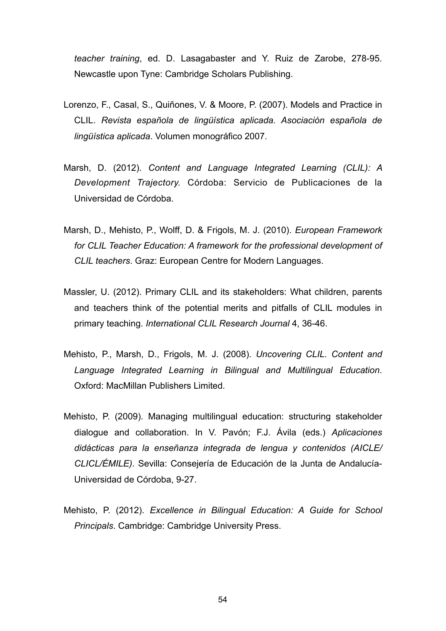*teacher training*, ed. D. Lasagabaster and Y. Ruiz de Zarobe, 278-95. Newcastle upon Tyne: Cambridge Scholars Publishing.

- Lorenzo, F., Casal, S., Quiñones, V. & Moore, P. (2007). Models and Practice in CLIL. *Revista española de lingüística aplicada. Asociación española de lingüística aplicada*. Volumen monográfico 2007.
- Marsh, D. (2012). *Content and Language Integrated Learning (CLIL): A Development Trajectory.* Córdoba: Servicio de Publicaciones de la Universidad de Córdoba.
- Marsh, D., Mehisto, P., Wolff, D. & Frigols, M. J. (2010). *European Framework for CLIL Teacher Education: A framework for the professional development of CLIL teachers*. Graz: European Centre for Modern Languages.
- Massler, U. (2012). Primary CLIL and its stakeholders: What children, parents and teachers think of the potential merits and pitfalls of CLIL modules in primary teaching. *International CLIL Research Journal* 4, 36-46.
- Mehisto, P., Marsh, D., Frigols, M. J. (2008). *Uncovering CLIL. Content and Language Integrated Learning in Bilingual and Multilingual Education*. Oxford: MacMillan Publishers Limited.
- Mehisto, P. (2009). Managing multilingual education: structuring stakeholder dialogue and collaboration. In V. Pavón; F.J. Ávila (eds.) *Aplicaciones didácticas para la enseñanza integrada de lengua y contenidos (AICLE/ CLICL/ÉMILE)*. Sevilla: Consejería de Educación de la Junta de Andalucía-Universidad de Córdoba, 9-27.
- Mehisto, P. (2012). *Excellence in Bilingual Education: A Guide for School Principals*. Cambridge: Cambridge University Press.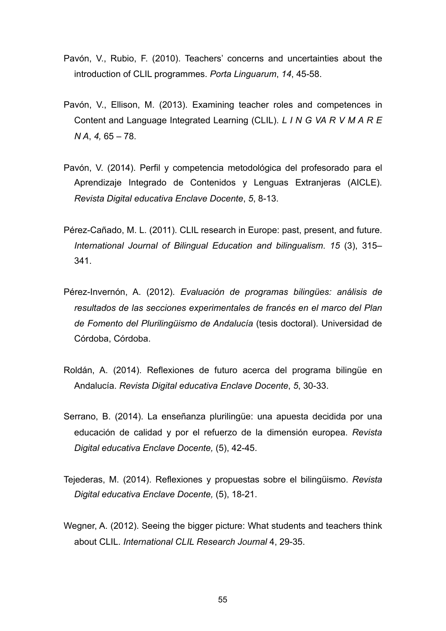- Pavón, V., Rubio, F. (2010). Teachers' concerns and uncertainties about the introduction of CLIL programmes. *Porta Linguarum*, *14*, 45-58.
- Pavón, V., Ellison, M. (2013). Examining teacher roles and competences in Content and Language Integrated Learning (CLIL). *L I N G VA R V M A R E N A*, *4,* 65 – 78.
- Pavón, V. (2014). Perfil y competencia metodológica del profesorado para el Aprendizaje Integrado de Contenidos y Lenguas Extranjeras (AICLE). *Revista Digital educativa Enclave Docente*, *5*, 8-13.
- Pérez-Cañado, M. L. (2011). CLIL research in Europe: past, present, and future. *International Journal of Bilingual Education and bilingualism*. *15* (3), 315– 341.
- Pérez-Invernón, A. (2012). *Evaluación de programas bilingües: análisis de resultados de las secciones experimentales de francés en el marco del Plan de Fomento del Plurilingüismo de Andalucía* (tesis doctoral). Universidad de Córdoba, Córdoba.
- Roldán, A. (2014). Reflexiones de futuro acerca del programa bilingüe en Andalucía. *Revista Digital educativa Enclave Docente*, *5*, 30-33.
- Serrano, B. (2014). La enseñanza plurilingüe: una apuesta decidida por una educación de calidad y por el refuerzo de la dimensión europea. *Revista Digital educativa Enclave Docente,* (5), 42-45.
- Tejederas, M. (2014). Reflexiones y propuestas sobre el bilingüismo. *Revista Digital educativa Enclave Docente,* (5), 18-21.
- Wegner, A. (2012). Seeing the bigger picture: What students and teachers think about CLIL. *International CLIL Research Journal* 4, 29-35.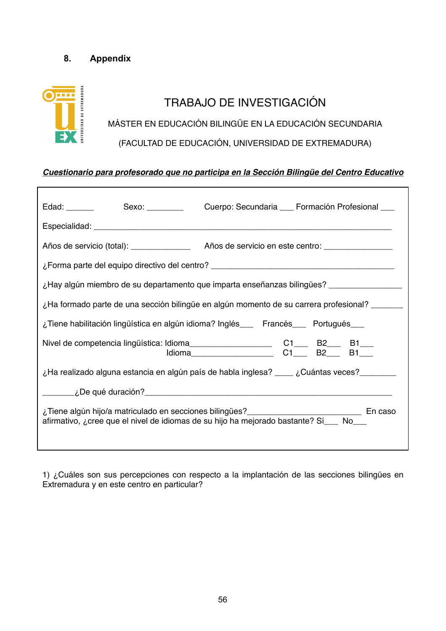## **8. Appendix**

## NIVERSIDAD DE EXTREMADURA TRABAJO DE INVESTIGACIÓN MÁSTER EN EDUCACIÓN BILINGÜE EN LA EDUCACIÓN SECUNDARIA (FACULTAD DE EDUCACIÓN, UNIVERSIDAD DE EXTREMADURA)

### *Cuestionario para profesorado que no participa en la Sección Bilingüe del Centro Educativo*

|                                                                                                                                                                                                                                                 |  |  | Edad: _______ Sexo: ________ Cuerpo: Secundaria __ Formación Profesional __ |  |  |  |  |
|-------------------------------------------------------------------------------------------------------------------------------------------------------------------------------------------------------------------------------------------------|--|--|-----------------------------------------------------------------------------|--|--|--|--|
|                                                                                                                                                                                                                                                 |  |  |                                                                             |  |  |  |  |
|                                                                                                                                                                                                                                                 |  |  |                                                                             |  |  |  |  |
| ightharpoonup community community of the part of the equipole of the centro? Let $\sim$ 150 $\mu$ and $\mu$ and $\mu$ and $\mu$ and $\mu$ and $\mu$ and $\mu$ and $\mu$ and $\mu$ and $\mu$ and $\mu$ and $\mu$ and $\mu$ and $\mu$ and $\mu$ a |  |  |                                                                             |  |  |  |  |
| ¿Hay algún miembro de su departamento que imparta enseñanzas bilingües? _______________                                                                                                                                                         |  |  |                                                                             |  |  |  |  |
| La formado parte de una sección bilingüe en algún momento de su carrera profesional? _______                                                                                                                                                    |  |  |                                                                             |  |  |  |  |
| ¿Tiene habilitación lingüística en algún idioma? Inglés___ Francés___ Portugués___                                                                                                                                                              |  |  |                                                                             |  |  |  |  |
|                                                                                                                                                                                                                                                 |  |  |                                                                             |  |  |  |  |
| ¿Ha realizado alguna estancia en algún país de habla inglesa? ____ ¿Cuántas veces? _______                                                                                                                                                      |  |  |                                                                             |  |  |  |  |
|                                                                                                                                                                                                                                                 |  |  |                                                                             |  |  |  |  |
| ¿Tiene algún hijo/a matriculado en secciones bilingües?<br>En caso<br>afirmativo, ¿cree que el nivel de idiomas de su hijo ha mejorado bastante? Sí___ No___                                                                                    |  |  |                                                                             |  |  |  |  |

1) ¿Cuáles son sus percepciones con respecto a la implantación de las secciones bilingües en Extremadura y en este centro en particular?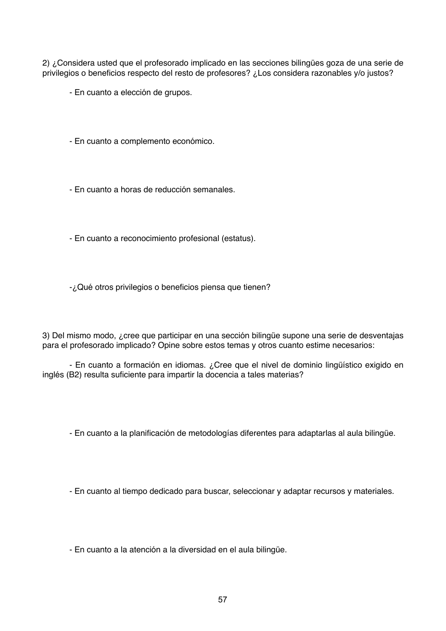2) ¿Considera usted que el profesorado implicado en las secciones bilingües goza de una serie de privilegios o beneficios respecto del resto de profesores? ¿Los considera razonables y/o justos?

- En cuanto a elección de grupos.
- En cuanto a complemento económico.
- En cuanto a horas de reducción semanales.
- En cuanto a reconocimiento profesional (estatus).

-¿Qué otros privilegios o beneficios piensa que tienen?

3) Del mismo modo, ¿cree que participar en una sección bilingüe supone una serie de desventajas para el profesorado implicado? Opine sobre estos temas y otros cuanto estime necesarios:

- En cuanto a formación en idiomas. ¿Cree que el nivel de dominio lingüístico exigido en inglés (B2) resulta suficiente para impartir la docencia a tales materias?

- En cuanto a la planificación de metodologías diferentes para adaptarlas al aula bilingüe.

- En cuanto al tiempo dedicado para buscar, seleccionar y adaptar recursos y materiales.

- En cuanto a la atención a la diversidad en el aula bilingüe.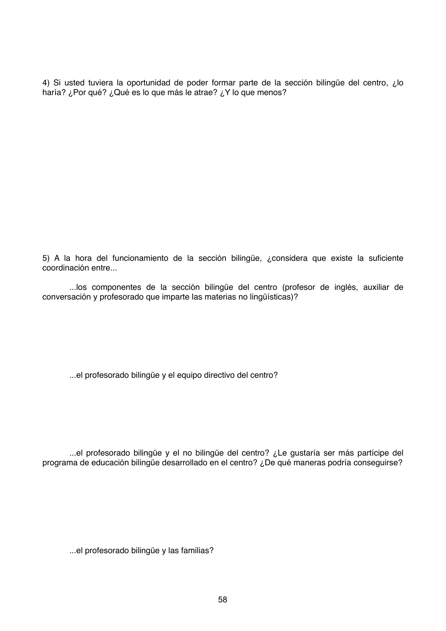4) Si usted tuviera la oportunidad de poder formar parte de la sección bilingüe del centro, ¿lo haría? ¿Por qué? ¿Qué es lo que más le atrae? ¿Y lo que menos?

5) A la hora del funcionamiento de la sección bilingüe, ¿considera que existe la suficiente coordinación entre...

...los componentes de la sección bilingüe del centro (profesor de inglés, auxiliar de conversación y profesorado que imparte las materias no lingüísticas)?

...el profesorado bilingüe y el equipo directivo del centro?

...el profesorado bilingüe y el no bilingüe del centro? ¿Le gustaría ser más partícipe del programa de educación bilingüe desarrollado en el centro? ¿De qué maneras podría conseguirse?

...el profesorado bilingüe y las familias?